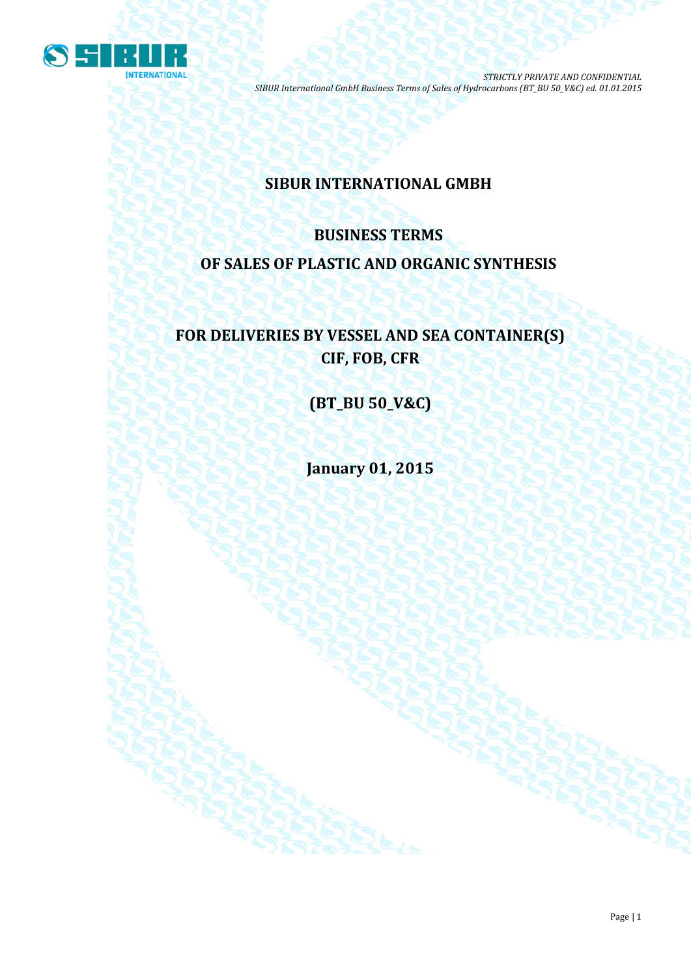

# **SIBUR INTERNATIONAL GMBH**

# **BUSINESS TERMS OF SALES OF PLASTIC AND ORGANIC SYNTHESIS**

# **FOR DELIVERIES BY VESSEL AND SEA CONTAINER(S) CIF, FOB, CFR**

**(BT\_BU 50\_V&C)**

**January 01, 2015**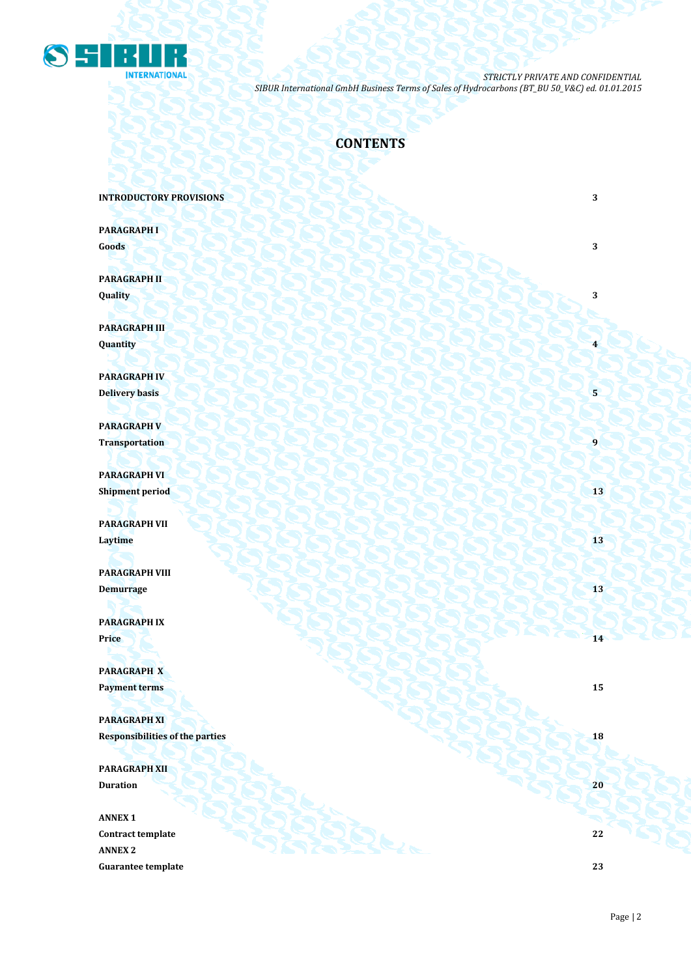

### **CONTENTS**

**INTRODUCTORY PROVISIONS** 3

**PARAGRAPH I Goods 3 3** 

**PARAGRAPH II Quality 3**

**PARAGRAPH III Quantity 4**

**PARAGRAPH IV Delivery basis 5 5** 

**PARAGRAPH V Transportation 1** 

**PARAGRAPH VI Shipment period 13** 

**PARAGRAPH VII Laytime** 13 **13** 

**PARAGRAPH VIII Demurrage 13 13 14 14 14 14 15 14 15 15 15 15 15 15 15** 

**PARAGRAPH IX Price 14** *Price* **14** 

**PARAGRAPH X Payment terms 15** 

**PARAGRAPH XI Responsibilities of the parties 18** 

**PARAGRAPH XII Duration 20**

**ANNEX 1 Contract template 22 ANNEX 2 Guarantee template 23**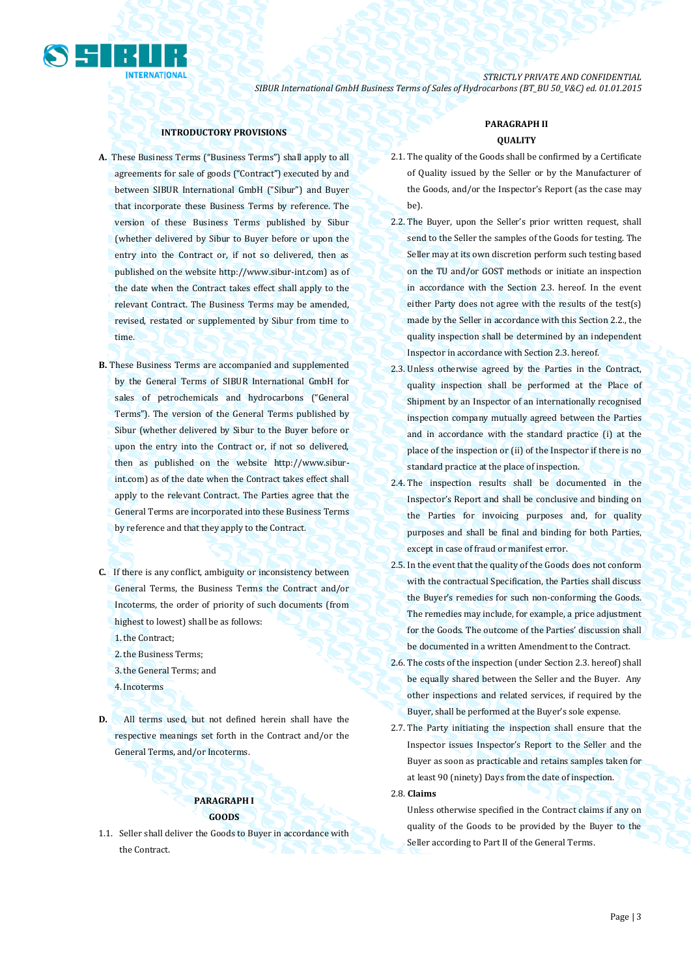

### **INTRODUCTORY PROVISIONS**

- **A.** These Business Terms ("Business Terms") shall apply to all agreements for sale of goods ("Contract") executed by and between SIBUR International GmbH ("Sibur") and Buyer that incorporate these Business Terms by reference. The version of these Business Terms published by Sibur (whether delivered by Sibur to Buyer before or upon the entry into the Contract or, if not so delivered, then as published on the website [http://www.sibur-int.com\)](http://www.sibur-int.com/) as of the date when the Contract takes effect shall apply to the relevant Contract. The Business Terms may be amended, revised, restated or supplemented by Sibur from time to time.
- **B.** These Business Terms are accompanied and supplemented by the General Terms of SIBUR International GmbH for sales of petrochemicals and hydrocarbons ("General Terms"). The version of the General Terms published by Sibur (whether delivered by Sibur to the Buyer before or upon the entry into the Contract or, if not so delivered, then as published on the website [http://www.sibur](http://www.sibur-int.com/)[int.com\)](http://www.sibur-int.com/) as of the date when the Contract takes effect shall apply to the relevant Contract. The Parties agree that the General Terms are incorporated into these Business Terms by reference and that they apply to the Contract.
- **C.** If there is any conflict, ambiguity or inconsistency between General Terms, the Business Terms the Contract and/or Incoterms, the order of priority of such documents (from highest to lowest) shall be as follows:
	- 1.the Contract;
	- 2.the Business Terms;
	- 3.the General Terms; and
	- 4.Incoterms
- **D.** All terms used, but not defined herein shall have the respective meanings set forth in the Contract and/or the General Terms, and/or Incoterms.

### **PARAGRAPH I GOODS**

1.1. Seller shall deliver the Goods to Buyer in accordance with the Contract.

### **PARAGRAPH II QUALITY**

- 2.1. The quality of the Goods shall be confirmed by a Certificate of Quality issued by the Seller or by the Manufacturer of the Goods, and/or the Inspector's Report (as the case may be).
- 2.2. The Buyer, upon the Seller's prior written request, shall send to the Seller the samples of the Goods for testing. The Seller may at its own discretion perform such testing based on the TU and/or GOST methods or initiate an inspection in accordance with the Section 2.3. hereof. In the event either Party does not agree with the results of the test(s) made by the Seller in accordance with this Section 2.2., the quality inspection shall be determined by an independent Inspector in accordance with Section 2.3. hereof.
- 2.3. Unless otherwise agreed by the Parties in the Contract, quality inspection shall be performed at the Place of Shipment by an Inspector of an internationally recognised inspection company mutually agreed between the Parties and in accordance with the standard practice (i) at the place of the inspection or (ii) of the Inspector if there is no standard practice at the place of inspection.
- 2.4. The inspection results shall be documented in the Inspector's Report and shall be conclusive and binding on the Parties for invoicing purposes and, for quality purposes and shall be final and binding for both Parties, except in case of fraud or manifest error.
- 2.5. In the event that the quality of the Goods does not conform with the contractual Specification, the Parties shall discuss the Buyer's remedies for such non-conforming the Goods. The remedies may include, for example, a price adjustment for the Goods. The outcome of the Parties' discussion shall be documented in a written Amendment to the Contract.
- 2.6. The costs of the inspection (under Section 2.3. hereof) shall be equally shared between the Seller and the Buyer. Any other inspections and related services, if required by the Buyer, shall be performed at the Buyer's sole expense.
- 2.7. The Party initiating the inspection shall ensure that the Inspector issues Inspector's Report to the Seller and the Buyer as soon as practicable and retains samples taken for at least 90 (ninety) Days from the date of inspection.

2.8. **Claims** 

Unless otherwise specified in the Contract claims if any on quality of the Goods to be provided by the Buyer to the Seller according to Part II of the General Terms.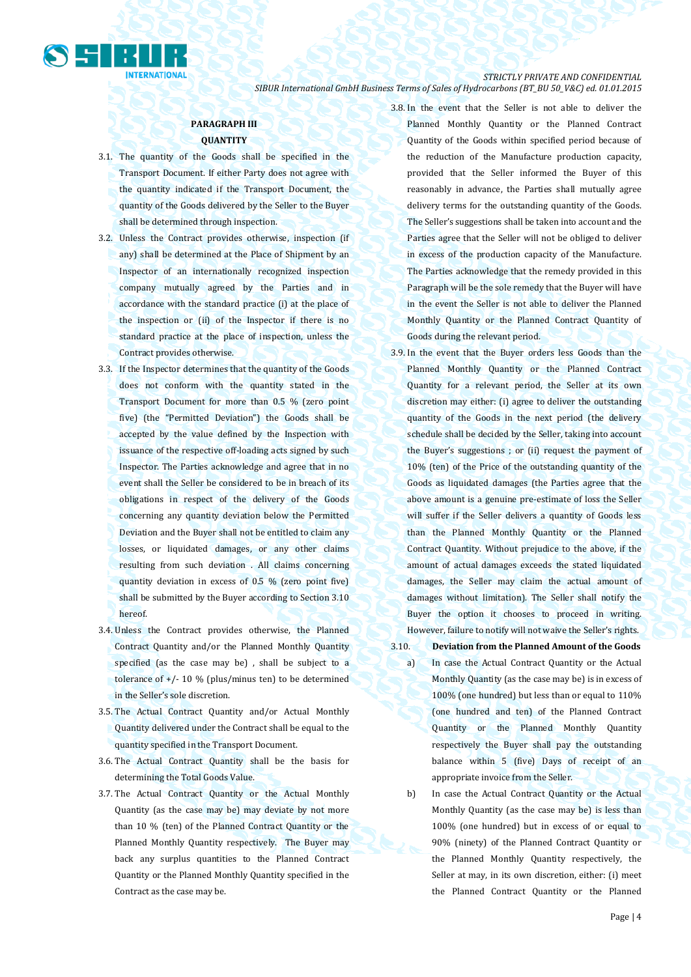

### **PARAGRAPH III QUANTITY**

- 3.1. The quantity of the Goods shall be specified in the Transport Document. If either Party does not agree with the quantity indicated if the Transport Document, the quantity of the Goods delivered by the Seller to the Buyer shall be determined through inspection.
- 3.2. Unless the Contract provides otherwise, inspection (if any) shall be determined at the Place of Shipment by an Inspector of an internationally recognized inspection company mutually agreed by the Parties and in accordance with the standard practice (i) at the place of the inspection or (ii) of the Inspector if there is no standard practice at the place of inspection, unless the Contract provides otherwise.
- 3.3. If the Inspector determines that the quantity of the Goods does not conform with the quantity stated in the Transport Document for more than 0.5 % (zero point five) (the "Permitted Deviation") the Goods shall be accepted by the value defined by the Inspection with issuance of the respective off-loading acts signed by such Inspector. The Parties acknowledge and agree that in no event shall the Seller be considered to be in breach of its obligations in respect of the delivery of the Goods concerning any quantity deviation below the Permitted Deviation and the Buyer shall not be entitled to claim any losses, or liquidated damages, or any other claims resulting from such deviation . All claims concerning quantity deviation in excess of 0.5 % (zero point five) shall be submitted by the Buyer according to Section 3.10 hereof.
- 3.4. Unless the Contract provides otherwise, the Planned Contract Quantity and/or the Planned Monthly Quantity specified (as the case may be) , shall be subject to a tolerance of  $+/$ - 10 % (plus/minus ten) to be determined in the Seller's sole discretion.
- 3.5. The Actual Contract Quantity and/or Actual Monthly Quantity delivered under the Contract shall be equal to the quantity specified in the Transport Document.
- 3.6. The Actual Contract Quantity shall be the basis for determining the Total Goods Value.
- 3.7. The Actual Contract Quantity or the Actual Monthly Quantity (as the case may be) may deviate by not more than 10 % (ten) of the Planned Contract Quantity or the Planned Monthly Quantity respectively. The Buyer may back any surplus quantities to the Planned Contract Quantity or the Planned Monthly Quantity specified in the Contract as the case may be.

3.8. In the event that the Seller is not able to deliver the Planned Monthly Quantity or the Planned Contract Quantity of the Goods within specified period because of the reduction of the Manufacture production capacity, provided that the Seller informed the Buyer of this reasonably in advance, the Parties shall mutually agree delivery terms for the outstanding quantity of the Goods. The Seller's suggestions shall be taken into account and the Parties agree that the Seller will not be obliged to deliver in excess of the production capacity of the Manufacture. The Parties acknowledge that the remedy provided in this Paragraph will be the sole remedy that the Buyer will have in the event the Seller is not able to deliver the Planned Monthly Quantity or the Planned Contract Quantity of Goods during the relevant period.

- 3.9. In the event that the Buyer orders less Goods than the Planned Monthly Quantity or the Planned Contract Quantity for a relevant period, the Seller at its own discretion may either: (i) agree to deliver the outstanding quantity of the Goods in the next period (the delivery schedule shall be decided by the Seller, taking into account the Buyer's suggestions ; or (ii) request the payment of 10% (ten) of the Price of the outstanding quantity of the Goods as liquidated damages (the Parties agree that the above amount is a genuine pre-estimate of loss the Seller will suffer if the Seller delivers a quantity of Goods less than the Planned Monthly Quantity or the Planned Contract Quantity. Without prejudice to the above, if the amount of actual damages exceeds the stated liquidated damages, the Seller may claim the actual amount of damages without limitation). The Seller shall notify the Buyer the option it chooses to proceed in writing. However, failure to notify will not waive the Seller's rights.
- 3.10. **Deviation from the Planned Amount of the Goods**
	- a) In case the Actual Contract Quantity or the Actual Monthly Quantity (as the case may be) is in excess of 100% (one hundred) but less than or equal to 110% (one hundred and ten) of the Planned Contract Quantity or the Planned Monthly Quantity respectively the Buyer shall pay the outstanding balance within 5 (five) Days of receipt of an appropriate invoice from the Seller.
	- b) In case the Actual Contract Quantity or the Actual Monthly Quantity (as the case may be) is less than 100% (one hundred) but in excess of or equal to 90% (ninety) of the Planned Contract Quantity or the Planned Monthly Quantity respectively, the Seller at may, in its own discretion, either: (i) meet the Planned Contract Quantity or the Planned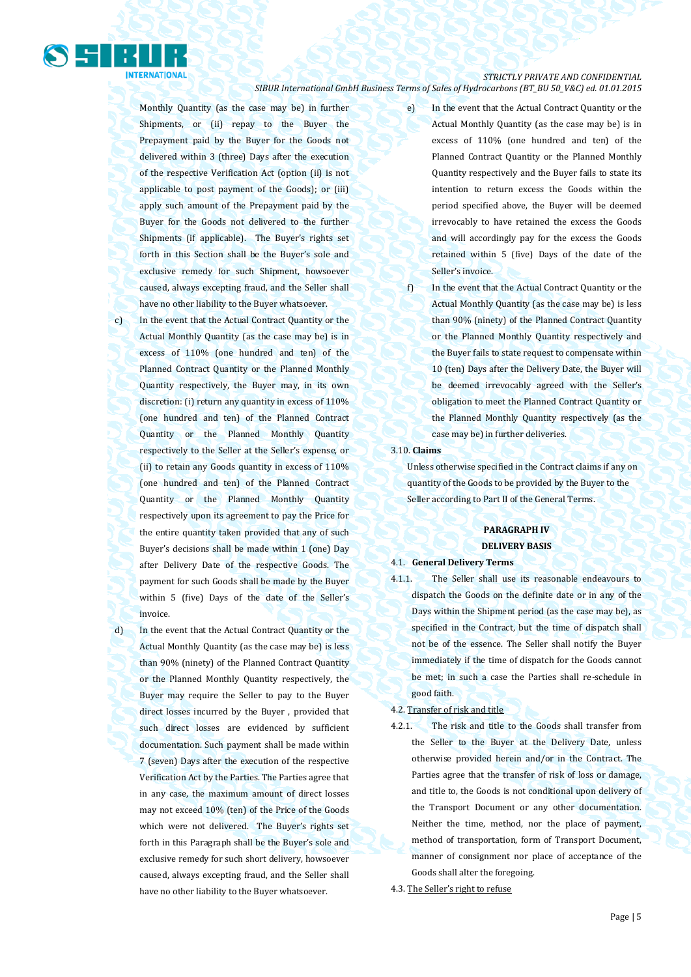

Monthly Quantity (as the case may be) in further Shipments, or (ii) repay to the Buyer the Prepayment paid by the Buyer for the Goods not delivered within 3 (three) Days after the execution of the respective Verification Act (option (ii) is not applicable to post payment of the Goods); or (iii) apply such amount of the Prepayment paid by the Buyer for the Goods not delivered to the further Shipments (if applicable). The Buyer's rights set forth in this Section shall be the Buyer's sole and exclusive remedy for such Shipment, howsoever caused, always excepting fraud, and the Seller shall have no other liability to the Buyer whatsoever.

c) In the event that the Actual Contract Quantity or the Actual Monthly Quantity (as the case may be) is in excess of 110% (one hundred and ten) of the Planned Contract Quantity or the Planned Monthly Quantity respectively, the Buyer may, in its own discretion: (i) return any quantity in excess of  $110\%$ (one hundred and ten) of the Planned Contract Quantity or the Planned Monthly Quantity respectively to the Seller at the Seller's expense, or (ii) to retain any Goods quantity in excess of 110% (one hundred and ten) of the Planned Contract Quantity or the Planned Monthly Quantity respectively upon its agreement to pay the Price for the entire quantity taken provided that any of such Buyer's decisions shall be made within 1 (one) Day after Delivery Date of the respective Goods. The payment for such Goods shall be made by the Buyer within 5 (five) Days of the date of the Seller's invoice.

d) In the event that the Actual Contract Quantity or the Actual Monthly Quantity (as the case may be) is less than 90% (ninety) of the Planned Contract Quantity or the Planned Monthly Quantity respectively, the Buyer may require the Seller to pay to the Buyer direct losses incurred by the Buyer , provided that such direct losses are evidenced by sufficient documentation. Such payment shall be made within 7 (seven) Days after the execution of the respective Verification Act by the Parties. The Parties agree that in any case, the maximum amount of direct losses may not exceed 10% (ten) of the Price of the Goods which were not delivered. The Buyer's rights set forth in this Paragraph shall be the Buyer's sole and exclusive remedy for such short delivery, howsoever caused, always excepting fraud, and the Seller shall have no other liability to the Buyer whatsoever.

e) In the event that the Actual Contract Quantity or the Actual Monthly Quantity (as the case may be) is in excess of 110% (one hundred and ten) of the Planned Contract Quantity or the Planned Monthly Quantity respectively and the Buyer fails to state its intention to return excess the Goods within the period specified above, the Buyer will be deemed irrevocably to have retained the excess the Goods and will accordingly pay for the excess the Goods retained within 5 (five) Days of the date of the Seller's invoice.

f) In the event that the Actual Contract Quantity or the Actual Monthly Quantity (as the case may be) is less than 90% (ninety) of the Planned Contract Quantity or the Planned Monthly Quantity respectively and the Buyer fails to state request to compensate within 10 (ten) Days after the Delivery Date, the Buyer will be deemed irrevocably agreed with the Seller's obligation to meet the Planned Contract Quantity or the Planned Monthly Quantity respectively (as the case may be) in further deliveries.

#### 3.10. **Claims**

Unless otherwise specified in the Contract claims if any on quantity of the Goods to be provided by the Buyer to the Seller according to Part II of the General Terms.

### **PARAGRAPH IV DELIVERY BASIS**

### 4.1. **General Delivery Terms**

4.1.1. The Seller shall use its reasonable endeavours to dispatch the Goods on the definite date or in any of the Days within the Shipment period (as the case may be), as specified in the Contract, but the time of dispatch shall not be of the essence. The Seller shall notify the Buyer immediately if the time of dispatch for the Goods cannot be met; in such a case the Parties shall re-schedule in good faith.

### 4.2. Transfer of risk and title

- 4.2.1. The risk and title to the Goods shall transfer from the Seller to the Buyer at the Delivery Date, unless otherwise provided herein and/or in the Contract. The Parties agree that the transfer of risk of loss or damage, and title to, the Goods is not conditional upon delivery of the Transport Document or any other documentation. Neither the time, method, nor the place of payment, method of transportation, form of Transport Document, manner of consignment nor place of acceptance of the Goods shall alter the foregoing.
- 4.3. The Seller's right to refuse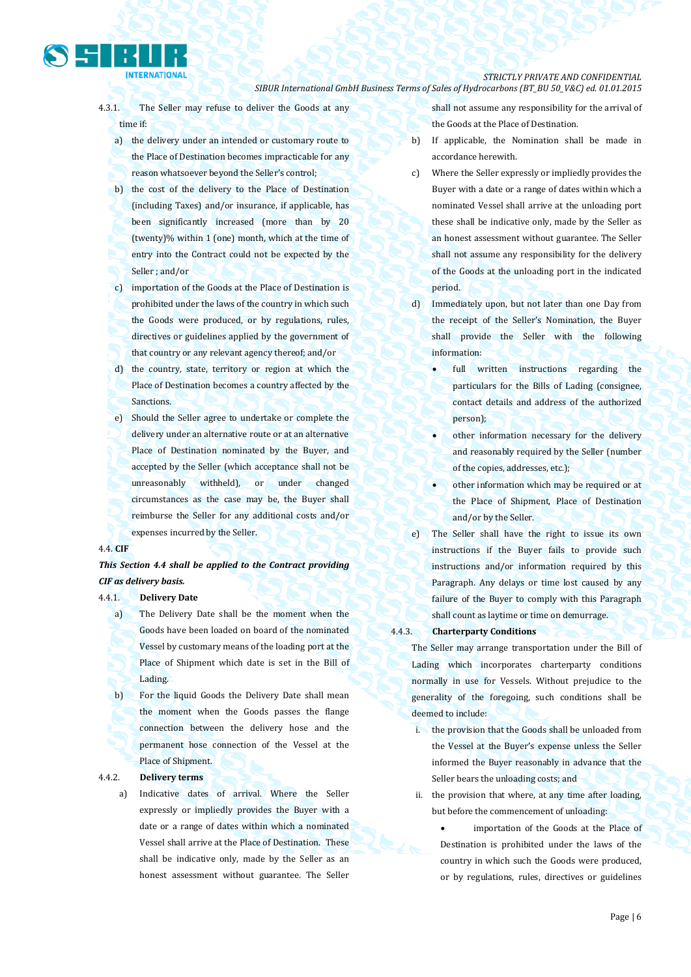

- 4.3.1. The Seller may refuse to deliver the Goods at any time if:
	- a) the delivery under an intended or customary route to the Place of Destination becomes impracticable for any reason whatsoever beyond the Seller's control;
	- b) the cost of the delivery to the Place of Destination (including Taxes) and/or insurance, if applicable, has been significantly increased (more than by 20 (twenty)% within 1 (one) month, which at the time of entry into the Contract could not be expected by the Seller ; and/or
	- c) importation of the Goods at the Place of Destination is prohibited under the laws of the country in which such the Goods were produced, or by regulations, rules, directives or guidelines applied by the government of that country or any relevant agency thereof; and/or
	- d) the country, state, territory or region at which the Place of Destination becomes a country affected by the Sanctions.
	- e) Should the Seller agree to undertake or complete the delivery under an alternative route or at an alternative Place of Destination nominated by the Buyer, and accepted by the Seller (which acceptance shall not be unreasonably withheld), or under changed circumstances as the case may be, the Buyer shall reimburse the Seller for any additional costs and/or expenses incurred by the Seller.

#### 4.4. **CIF**

### *This Section 4.4 shall be applied to the Contract providing CIF as delivery basis.*

4.4.1. **Delivery Date**

- a) The Delivery Date shall be the moment when the Goods have been loaded on board of the nominated Vessel by customary means of the loading port at the Place of Shipment which date is set in the Bill of Lading.
- b) For the liquid Goods the Delivery Date shall mean the moment when the Goods passes the flange connection between the delivery hose and the permanent hose connection of the Vessel at the Place of Shipment.

#### 4.4.2. **Delivery terms**

a) Indicative dates of arrival. Where the Seller expressly or impliedly provides the Buyer with a date or a range of dates within which a nominated Vessel shall arrive at the Place of Destination. These shall be indicative only, made by the Seller as an honest assessment without guarantee. The Seller

shall not assume any responsibility for the arrival of the Goods at the Place of Destination.

- b) If applicable, the Nomination shall be made in accordance herewith.
- c) Where the Seller expressly or impliedly provides the Buyer with a date or a range of dates within which a nominated Vessel shall arrive at the unloading port these shall be indicative only, made by the Seller as an honest assessment without guarantee. The Seller shall not assume any responsibility for the delivery of the Goods at the unloading port in the indicated period.
- d) Immediately upon, but not later than one Day from the receipt of the Seller's Nomination, the Buyer shall provide the Seller with the following information:
	- full written instructions regarding the particulars for the Bills of Lading (consignee, contact details and address of the authorized person);
	- other information necessary for the delivery and reasonably required by the Seller (number of the copies, addresses, etc.);
	- other information which may be required or at the Place of Shipment, Place of Destination and/or by the Seller.
- e) The Seller shall have the right to issue its own instructions if the Buyer fails to provide such instructions and/or information required by this Paragraph. Any delays or time lost caused by any failure of the Buyer to comply with this Paragraph shall count as laytime or time on demurrage.
- 4.4.3. **Charterparty Conditions**

The Seller may arrange transportation under the Bill of Lading which incorporates charterparty conditions normally in use for Vessels. Without prejudice to the generality of the foregoing, such conditions shall be deemed to include:

- i. the provision that the Goods shall be unloaded from the Vessel at the Buyer's expense unless the Seller informed the Buyer reasonably in advance that the Seller bears the unloading costs; and
- ii. the provision that where, at any time after loading, but before the commencement of unloading:

 importation of the Goods at the Place of Destination is prohibited under the laws of the country in which such the Goods were produced, or by regulations, rules, directives or guidelines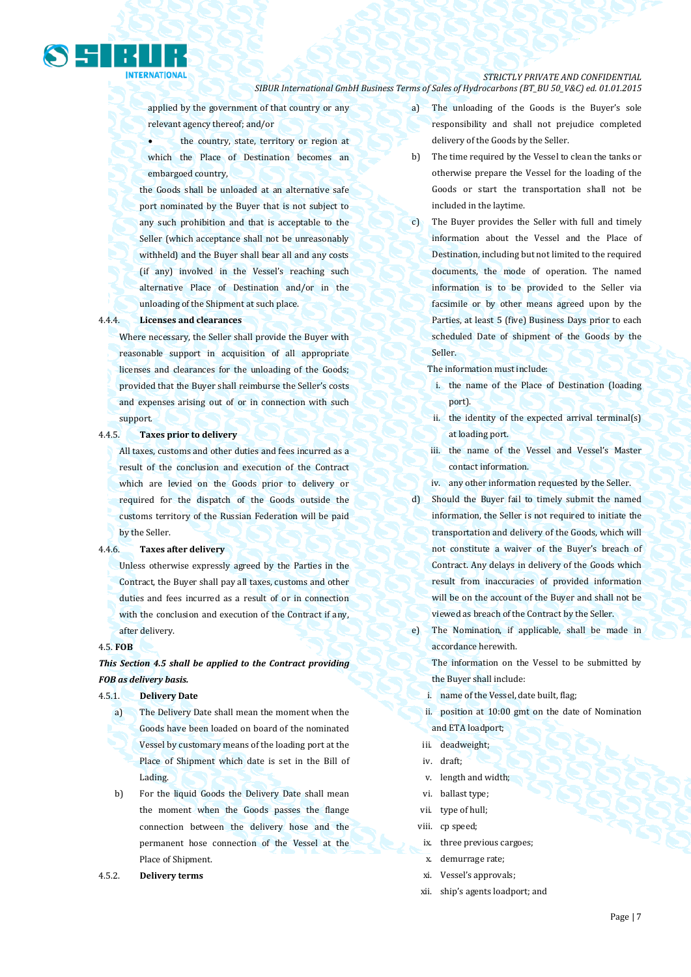

applied by the government of that country or any relevant agency thereof; and/or

 the country, state, territory or region at which the Place of Destination becomes an embargoed country,

the Goods shall be unloaded at an alternative safe port nominated by the Buyer that is not subject to any such prohibition and that is acceptable to the Seller (which acceptance shall not be unreasonably withheld) and the Buyer shall bear all and any costs (if any) involved in the Vessel's reaching such alternative Place of Destination and/or in the unloading of the Shipment at such place.

#### 4.4.4. **Licenses and clearances**

Where necessary, the Seller shall provide the Buyer with reasonable support in acquisition of all appropriate licenses and clearances for the unloading of the Goods; provided that the Buyer shall reimburse the Seller's costs and expenses arising out of or in connection with such support.

### 4.4.5. **Taxes prior to delivery**

All taxes, customs and other duties and fees incurred as a result of the conclusion and execution of the Contract which are levied on the Goods prior to delivery or required for the dispatch of the Goods outside the customs territory of the Russian Federation will be paid by the Seller.

#### 4.4.6. **Taxes after delivery**

Unless otherwise expressly agreed by the Parties in the Contract, the Buyer shall pay all taxes, customs and other duties and fees incurred as a result of or in connection with the conclusion and execution of the Contract if any, after delivery.

#### 4.5. **FOB**

### *This Section 4.5 shall be applied to the Contract providing FOB as delivery basis.*

#### 4.5.1. **Delivery Date**

- a) The Delivery Date shall mean the moment when the Goods have been loaded on board of the nominated Vessel by customary means of the loading port at the Place of Shipment which date is set in the Bill of Lading.
- b) For the liquid Goods the Delivery Date shall mean the moment when the Goods passes the flange connection between the delivery hose and the permanent hose connection of the Vessel at the Place of Shipment.
- 4.5.2. **Delivery terms**
- a) The unloading of the Goods is the Buyer's sole responsibility and shall not prejudice completed delivery of the Goods by the Seller.
- b) The time required by the Vessel to clean the tanks or otherwise prepare the Vessel for the loading of the Goods or start the transportation shall not be included in the laytime.
- c) The Buyer provides the Seller with full and timely information about the Vessel and the Place of Destination, including but not limited to the required documents, the mode of operation. The named information is to be provided to the Seller via facsimile or by other means agreed upon by the Parties, at least 5 (five) Business Days prior to each scheduled Date of shipment of the Goods by the Seller.
	- The information must include:
	- i. the name of the Place of Destination (loading port).
	- ii. the identity of the expected arrival terminal(s) at loading port.
	- iii. the name of the Vessel and Vessel's Master contact information.
	- iv. any other information requested by the Seller.
- d) Should the Buyer fail to timely submit the named information, the Seller is not required to initiate the transportation and delivery of the Goods, which will not constitute a waiver of the Buyer's breach of Contract. Any delays in delivery of the Goods which result from inaccuracies of provided information will be on the account of the Buyer and shall not be viewed as breach of the Contract by the Seller.
- e) The Nomination, if applicable, shall be made in accordance herewith.

The information on the Vessel to be submitted by the Buyer shall include:

- i. name of the Vessel, date built, flag;
- ii. position at 10:00 gmt on the date of Nomination and ETA loadport;
- iii. deadweight;
- iv. draft;
- v. length and width;
- vi. ballast type;
- vii. type of hull;
- viii. cp speed;
- ix. three previous cargoes;
- x. demurrage rate;
- xi. Vessel's approvals;
- xii. ship's agents loadport; and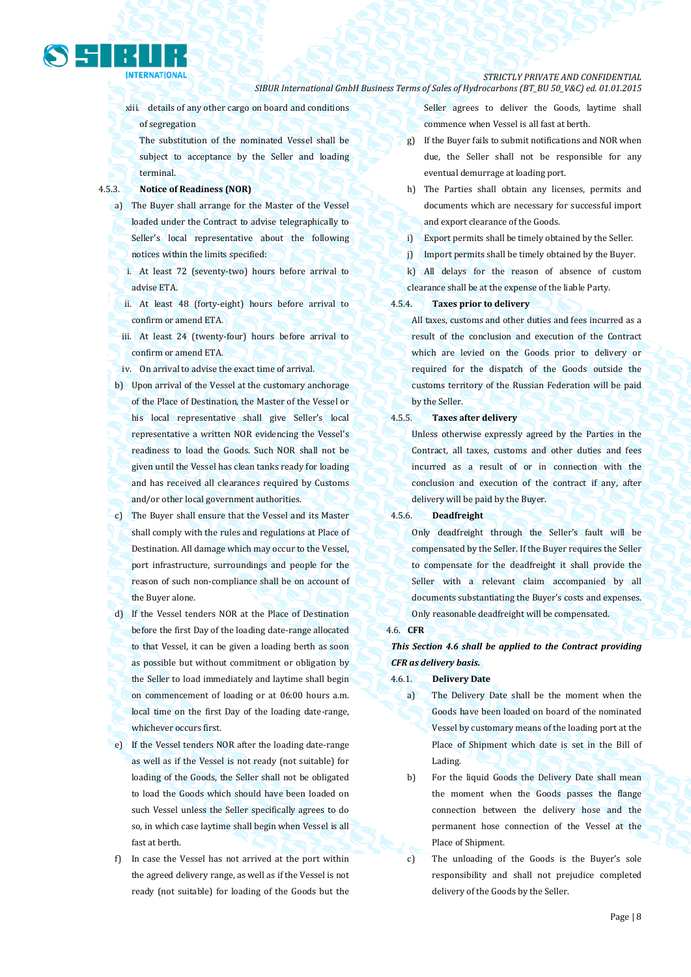### *STRICTLY PRIVATE AND CONFIDENTIAL*

*SIBUR International GmbH Business Terms of Sales of Hydrocarbons (BT\_BU 50\_V&C) ed. 01.01.2015*

xiii. details of any other cargo on board and conditions of segregation

The substitution of the nominated Vessel shall be subject to acceptance by the Seller and loading terminal.

### 4.5.3. **Notice of Readiness (NOR)**

- a) The Buyer shall arrange for the Master of the Vessel loaded under the Contract to advise telegraphically to Seller's local representative about the following notices within the limits specified:
	- i. At least 72 (seventy-two) hours before arrival to advise ETA.
	- ii. At least 48 (forty-eight) hours before arrival to confirm or amend ETA.
	- iii. At least 24 (twenty-four) hours before arrival to confirm or amend ETA.
- iv. On arrival to advise the exact time of arrival.
- b) Upon arrival of the Vessel at the customary anchorage of the Place of Destination, the Master of the Vessel or his local representative shall give Seller's local representative a written NOR evidencing the Vessel's readiness to load the Goods. Such NOR shall not be given until the Vessel has clean tanks ready for loading and has received all clearances required by Customs and/or other local government authorities.
- c) The Buyer shall ensure that the Vessel and its Master shall comply with the rules and regulations at Place of Destination. All damage which may occur to the Vessel, port infrastructure, surroundings and people for the reason of such non-compliance shall be on account of the Buyer alone.
- d) If the Vessel tenders NOR at the Place of Destination before the first Day of the loading date-range allocated to that Vessel, it can be given a loading berth as soon as possible but without commitment or obligation by the Seller to load immediately and laytime shall begin on commencement of loading or at 06:00 hours a.m. local time on the first Day of the loading date-range, whichever occurs first.
- e) If the Vessel tenders NOR after the loading date-range as well as if the Vessel is not ready (not suitable) for loading of the Goods, the Seller shall not be obligated to load the Goods which should have been loaded on such Vessel unless the Seller specifically agrees to do so, in which case laytime shall begin when Vessel is all fast at berth.
- f) In case the Vessel has not arrived at the port within the agreed delivery range, as well as if the Vessel is not ready (not suitable) for loading of the Goods but the

Seller agrees to deliver the Goods, laytime shall commence when Vessel is all fast at berth.

- g) If the Buyer fails to submit notifications and NOR when due, the Seller shall not be responsible for any eventual demurrage at loading port.
- h) The Parties shall obtain any licenses, permits and documents which are necessary for successful import and export clearance of the Goods.
- i) Export permits shall be timely obtained by the Seller.
- j) Import permits shall be timely obtained by the Buyer.
- k) All delays for the reason of absence of custom clearance shall be at the expense of the liable Party.

### 4.5.4. **Taxes prior to delivery**

All taxes, customs and other duties and fees incurred as a result of the conclusion and execution of the Contract which are levied on the Goods prior to delivery or required for the dispatch of the Goods outside the customs territory of the Russian Federation will be paid by the Seller.

### 4.5.5. **Taxes after delivery**

Unless otherwise expressly agreed by the Parties in the Contract, all taxes, customs and other duties and fees incurred as a result of or in connection with the conclusion and execution of the contract if any, after delivery will be paid by the Buyer.

### 4.5.6. **Deadfreight**

Only deadfreight through the Seller's fault will be compensated by the Seller. If the Buyer requires the Seller to compensate for the deadfreight it shall provide the Seller with a relevant claim accompanied by all documents substantiating the Buyer's costs and expenses. Only reasonable deadfreight will be compensated.

#### 4.6. **CFR**

### *This Section 4.6 shall be applied to the Contract providing CFR as delivery basis.*

- 4.6.1. **Delivery Date**
	- a) The Delivery Date shall be the moment when the Goods have been loaded on board of the nominated Vessel by customary means of the loading port at the Place of Shipment which date is set in the Bill of Lading.
	- b) For the liquid Goods the Delivery Date shall mean the moment when the Goods passes the flange connection between the delivery hose and the permanent hose connection of the Vessel at the Place of Shipment.
	- c) The unloading of the Goods is the Buyer's sole responsibility and shall not prejudice completed delivery of the Goods by the Seller.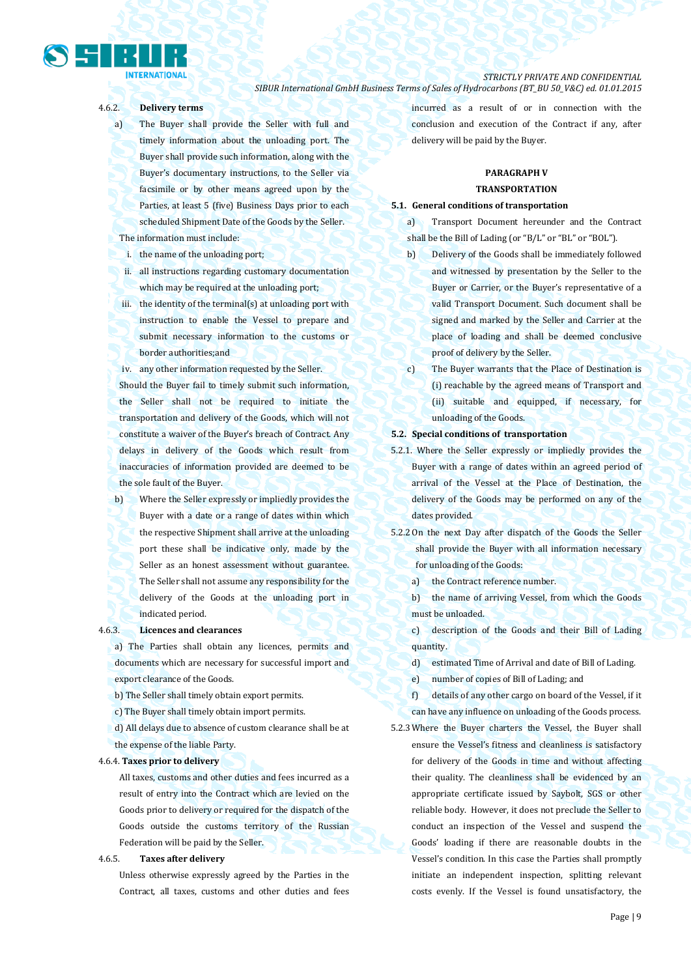# **INTERNATIONAL**

*STRICTLY PRIVATE AND CONFIDENTIAL SIBUR International GmbH Business Terms of Sales of Hydrocarbons (BT\_BU 50\_V&C) ed. 01.01.2015*

### 4.6.2. **Delivery terms**

- a) The Buyer shall provide the Seller with full and timely information about the unloading port. The Buyer shall provide such information, along with the Buyer's documentary instructions, to the Seller via facsimile or by other means agreed upon by the Parties, at least 5 (five) Business Days prior to each scheduled Shipment Date of the Goods by the Seller. The information must include:
- i. the name of the unloading port;
- ii. all instructions regarding customary documentation which may be required at the unloading port;
- iii. the identity of the terminal(s) at unloading port with instruction to enable the Vessel to prepare and submit necessary information to the customs or border authorities;and
- iv. any other information requested by the Seller.

Should the Buyer fail to timely submit such information, the Seller shall not be required to initiate the transportation and delivery of the Goods, which will not constitute a waiver of the Buyer's breach of Contract. Any delays in delivery of the Goods which result from inaccuracies of information provided are deemed to be the sole fault of the Buyer.

b) Where the Seller expressly or impliedly provides the Buyer with a date or a range of dates within which the respective Shipment shall arrive at the unloading port these shall be indicative only, made by the Seller as an honest assessment without guarantee. The Seller shall not assume any responsibility for the delivery of the Goods at the unloading port in indicated period.

### 4.6.3. **Licences and clearances**

a) The Parties shall obtain any licences, permits and documents which are necessary for successful import and export clearance of the Goods.

b) The Seller shall timely obtain export permits.

c) The Buyer shall timely obtain import permits.

d) All delays due to absence of custom clearance shall be at the expense of the liable Party.

#### 4.6.4. **Taxes prior to delivery**

All taxes, customs and other duties and fees incurred as a result of entry into the Contract which are levied on the Goods prior to delivery or required for the dispatch of the Goods outside the customs territory of the Russian Federation will be paid by the Seller.

### 4.6.5. **Taxes after delivery**

Unless otherwise expressly agreed by the Parties in the Contract, all taxes, customs and other duties and fees incurred as a result of or in connection with the conclusion and execution of the Contract if any, after delivery will be paid by the Buyer.

### **PARAGRAPH V TRANSPORTATION**

#### **5.1. General conditions of transportation**

a) Transport Document hereunder and the Contract shall be the Bill of Lading (or "B/L" or "BL" or "BOL").

- b) Delivery of the Goods shall be immediately followed and witnessed by presentation by the Seller to the Buyer or Carrier, or the Buyer's representative of a valid Transport Document. Such document shall be signed and marked by the Seller and Carrier at the place of loading and shall be deemed conclusive proof of delivery by the Seller.
- c) The Buyer warrants that the Place of Destination is (i) reachable by the agreed means of Transport and (ii) suitable and equipped, if necessary, for unloading of the Goods.

#### **5.2. Special conditions of transportation**

- 5.2.1. Where the Seller expressly or impliedly provides the Buyer with a range of dates within an agreed period of arrival of the Vessel at the Place of Destination, the delivery of the Goods may be performed on any of the dates provided.
- 5.2.2 On the next Day after dispatch of the Goods the Seller shall provide the Buyer with all information necessary for unloading of the Goods:
	- a) the Contract reference number.
	- b) the name of arriving Vessel, from which the Goods must be unloaded.
	- c) description of the Goods and their Bill of Lading quantity.
	- d) estimated Time of Arrival and date of Bill of Lading.

e) number of copies of Bill of Lading; and

f) details of any other cargo on board of the Vessel, if it can have any influence on unloading of the Goods process.

5.2.3 Where the Buyer charters the Vessel, the Buyer shall ensure the Vessel's fitness and cleanliness is satisfactory for delivery of the Goods in time and without affecting their quality. The cleanliness shall be evidenced by an appropriate certificate issued by Saybolt, SGS or other reliable body. However, it does not preclude the Seller to conduct an inspection of the Vessel and suspend the Goods' loading if there are reasonable doubts in the Vessel's condition. In this case the Parties shall promptly initiate an independent inspection, splitting relevant costs evenly. If the Vessel is found unsatisfactory, the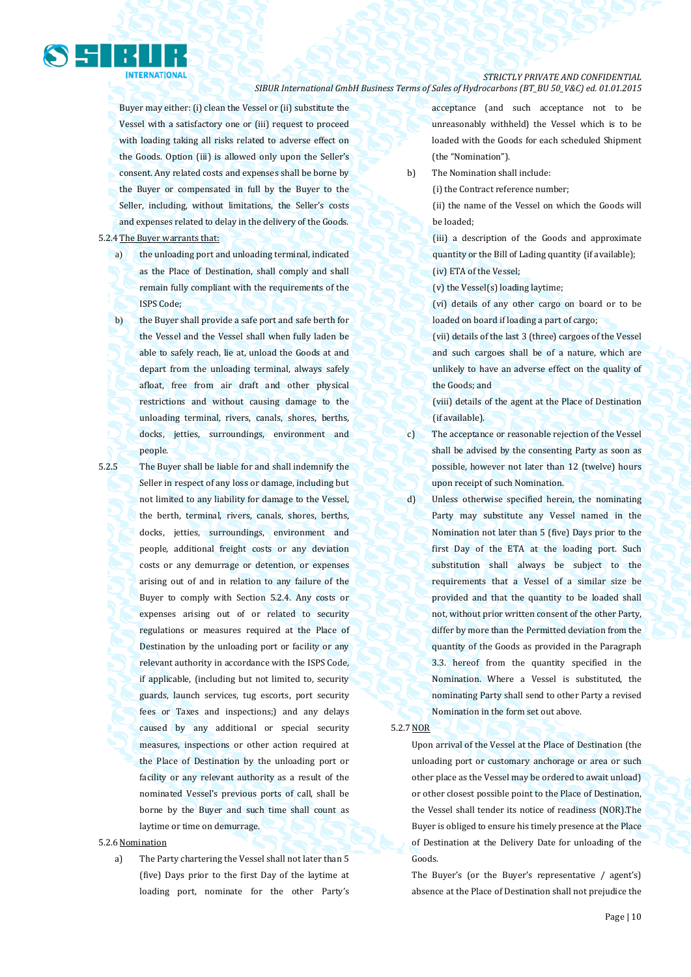

Buyer may either: (i) clean the Vessel or (ii) substitute the Vessel with a satisfactory one or (iii) request to proceed with loading taking all risks related to adverse effect on the Goods. Option (iii) is allowed only upon the Seller's consent. Any related costs and expenses shall be borne by the Buyer or compensated in full by the Buyer to the Seller, including, without limitations, the Seller's costs and expenses related to delay in the delivery of the Goods.

5.2.4 The Buyer warrants that:

a) the unloading port and unloading terminal, indicated as the Place of Destination, shall comply and shall remain fully compliant with the requirements of the ISPS Code;

b) the Buyer shall provide a safe port and safe berth for the Vessel and the Vessel shall when fully laden be able to safely reach, lie at, unload the Goods at and depart from the unloading terminal, always safely afloat, free from air draft and other physical restrictions and without causing damage to the unloading terminal, rivers, canals, shores, berths, docks, jetties, surroundings, environment and people.

5.2.5 The Buyer shall be liable for and shall indemnify the Seller in respect of any loss or damage, including but not limited to any liability for damage to the Vessel, the berth, terminal, rivers, canals, shores, berths, docks, jetties, surroundings, environment and people, additional freight costs or any deviation costs or any demurrage or detention, or expenses arising out of and in relation to any failure of the Buyer to comply with Section 5.2.4. Any costs or expenses arising out of or related to security regulations or measures required at the Place of Destination by the unloading port or facility or any relevant authority in accordance with the ISPS Code, if applicable, (including but not limited to, security guards, launch services, tug escorts, port security fees or Taxes and inspections;) and any delays caused by any additional or special security measures, inspections or other action required at the Place of Destination by the unloading port or facility or any relevant authority as a result of the nominated Vessel's previous ports of call, shall be borne by the Buyer and such time shall count as laytime or time on demurrage.

### 5.2.6 Nomination

a) The Party chartering the Vessel shall not later than 5 (five) Days prior to the first Day of the laytime at loading port, nominate for the other Party's acceptance (and such acceptance not to be unreasonably withheld) the Vessel which is to be loaded with the Goods for each scheduled Shipment (the "Nomination").

b) The Nomination shall include:

(i) the Contract reference number;

(ii) the name of the Vessel on which the Goods will be loaded;

(iii) a description of the Goods and approximate quantity or the Bill of Lading quantity (if available); (iv) ETA of the Vessel;

(v) the Vessel(s) loading laytime;

(vi) details of any other cargo on board or to be loaded on board if loading a part of cargo;

(vii) details of the last 3 (three) cargoes of the Vessel and such cargoes shall be of a nature, which are unlikely to have an adverse effect on the quality of the Goods; and

(viii) details of the agent at the Place of Destination (if available).

c) The acceptance or reasonable rejection of the Vessel shall be advised by the consenting Party as soon as possible, however not later than 12 (twelve) hours upon receipt of such Nomination.

d) Unless otherwise specified herein, the nominating Party may substitute any Vessel named in the Nomination not later than 5 (five) Days prior to the first Day of the ETA at the loading port. Such substitution shall always be subject to the requirements that a Vessel of a similar size be provided and that the quantity to be loaded shall not, without prior written consent of the other Party, differ by more than the Permitted deviation from the quantity of the Goods as provided in the Paragraph 3.3. hereof from the quantity specified in the Nomination. Where a Vessel is substituted, the nominating Party shall send to other Party a revised Nomination in the form set out above.

#### 5.2.7 NOR

Upon arrival of the Vessel at the Place of Destination (the unloading port or customary anchorage or area or such other place as the Vessel may be ordered to await unload) or other closest possible point to the Place of Destination, the Vessel shall tender its notice of readiness (NOR).The Buyer is obliged to ensure his timely presence at the Place of Destination at the Delivery Date for unloading of the Goods.

The Buyer's (or the Buyer's representative / agent's) absence at the Place of Destination shall not prejudice the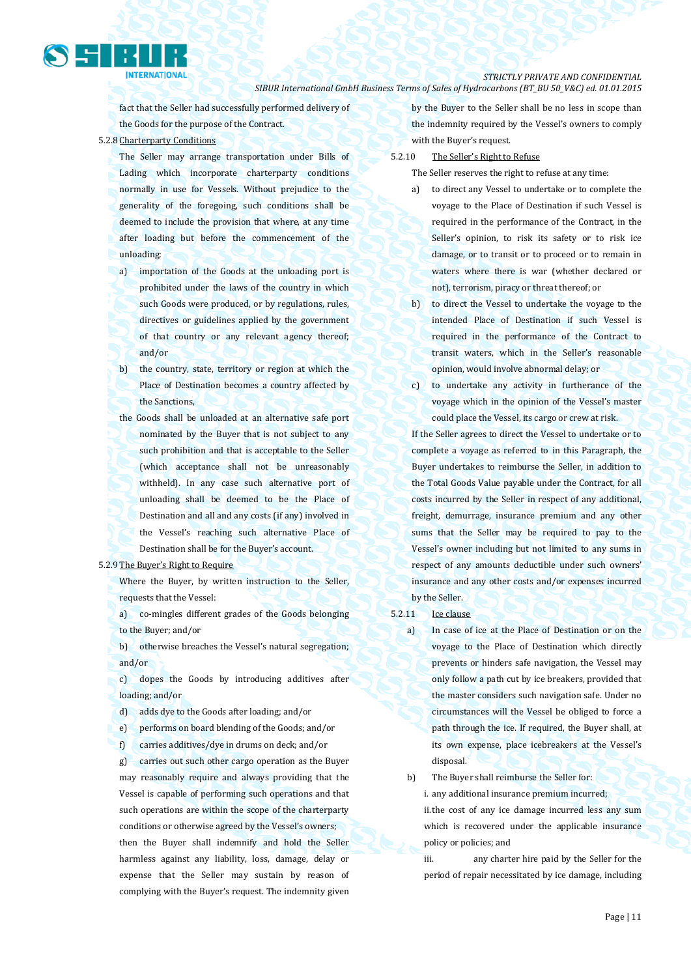fact that the Seller had successfully performed delivery of the Goods for the purpose of the Contract.

5.2.8 Charterparty Conditions

- The Seller may arrange transportation under Bills of Lading which incorporate charterparty conditions normally in use for Vessels. Without prejudice to the generality of the foregoing, such conditions shall be deemed to include the provision that where, at any time after loading but before the commencement of the unloading:
- a) importation of the Goods at the unloading port is prohibited under the laws of the country in which such Goods were produced, or by regulations, rules, directives or guidelines applied by the government of that country or any relevant agency thereof; and/or
- b) the country, state, territory or region at which the Place of Destination becomes a country affected by the Sanctions,
- the Goods shall be unloaded at an alternative safe port nominated by the Buyer that is not subject to any such prohibition and that is acceptable to the Seller (which acceptance shall not be unreasonably withheld). In any case such alternative port of unloading shall be deemed to be the Place of Destination and all and any costs (if any) involved in the Vessel's reaching such alternative Place of Destination shall be for the Buyer's account.

#### 5.2.9 The Buyer's Right to Require

Where the Buyer, by written instruction to the Seller, requests that the Vessel:

a) co-mingles different grades of the Goods belonging to the Buyer; and/or

b) otherwise breaches the Vessel's natural segregation; and/or

c) dopes the Goods by introducing additives after loading; and/or

d) adds dye to the Goods after loading; and/or

e) performs on board blending of the Goods; and/or

f) carries additives/dye in drums on deck; and/or

g) carries out such other cargo operation as the Buyer may reasonably require and always providing that the Vessel is capable of performing such operations and that such operations are within the scope of the charterparty conditions or otherwise agreed by the Vessel's owners; then the Buyer shall indemnify and hold the Seller harmless against any liability, loss, damage, delay or expense that the Seller may sustain by reason of complying with the Buyer's request. The indemnity given by the Buyer to the Seller shall be no less in scope than the indemnity required by the Vessel's owners to comply with the Buyer's request.

5.2.10 The Seller's Right to Refuse

The Seller reserves the right to refuse at any time:

- a) to direct any Vessel to undertake or to complete the voyage to the Place of Destination if such Vessel is required in the performance of the Contract, in the Seller's opinion, to risk its safety or to risk ice damage, or to transit or to proceed or to remain in waters where there is war (whether declared or not), terrorism, piracy or threat thereof; or
- b) to direct the Vessel to undertake the voyage to the intended Place of Destination if such Vessel is required in the performance of the Contract to transit waters, which in the Seller's reasonable opinion, would involve abnormal delay; or
- c) to undertake any activity in furtherance of the voyage which in the opinion of the Vessel's master could place the Vessel, its cargo or crew at risk.

If the Seller agrees to direct the Vessel to undertake or to complete a voyage as referred to in this Paragraph, the Buyer undertakes to reimburse the Seller, in addition to the Total Goods Value payable under the Contract, for all costs incurred by the Seller in respect of any additional, freight, demurrage, insurance premium and any other sums that the Seller may be required to pay to the Vessel's owner including but not limited to any sums in respect of any amounts deductible under such owners' insurance and any other costs and/or expenses incurred by the Seller.

#### 5.2.11 Ice clause

a) In case of ice at the Place of Destination or on the voyage to the Place of Destination which directly prevents or hinders safe navigation, the Vessel may only follow a path cut by ice breakers, provided that the master considers such navigation safe. Under no circumstances will the Vessel be obliged to force a path through the ice. If required, the Buyer shall, at its own expense, place icebreakers at the Vessel's disposal.

b) The Buyer shall reimburse the Seller for:

i. any additional insurance premium incurred;

ii.the cost of any ice damage incurred less any sum which is recovered under the applicable insurance policy or policies; and

iii. any charter hire paid by the Seller for the period of repair necessitated by ice damage, including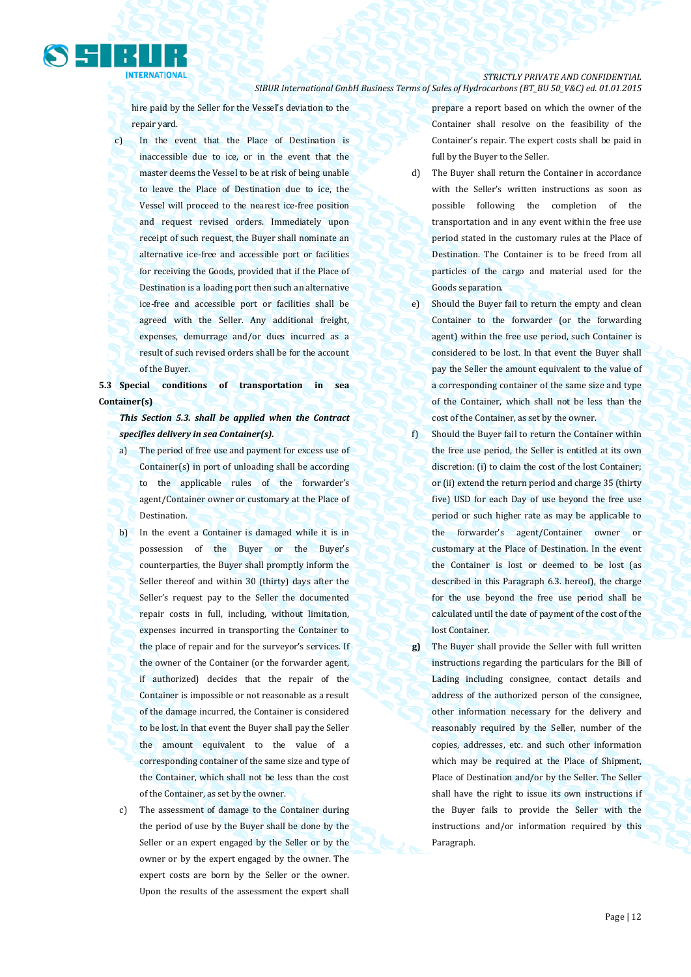

hire paid by the Seller for the Vessel's deviation to the repair yard.

c) In the event that the Place of Destination is inaccessible due to ice, or in the event that the master deems the Vessel to be at risk of being unable to leave the Place of Destination due to ice, the Vessel will proceed to the nearest ice-free position and request revised orders. Immediately upon receipt of such request, the Buyer shall nominate an alternative ice-free and accessible port or facilities for receiving the Goods, provided that if the Place of Destination is a loading port then such an alternative ice-free and accessible port or facilities shall be agreed with the Seller. Any additional freight, expenses, demurrage and/or dues incurred as a result of such revised orders shall be for the account of the Buyer.

**5.3 Special conditions of transportation in sea Container(s)**

*This Section 5.3. shall be applied when the Contract specifies delivery in sea Container(s).*

- a) The period of free use and payment for excess use of Container(s) in port of unloading shall be according to the applicable rules of the forwarder's agent/Container owner or customary at the Place of Destination.
- b) In the event a Container is damaged while it is in possession of the Buyer or the Buyer's counterparties, the Buyer shall promptly inform the Seller thereof and within 30 (thirty) days after the Seller's request pay to the Seller the documented repair costs in full, including, without limitation, expenses incurred in transporting the Container to the place of repair and for the surveyor's services. If the owner of the Container (or the forwarder agent, if authorized) decides that the repair of the Container is impossible or not reasonable as a result of the damage incurred, the Container is considered to be lost. In that event the Buyer shall pay the Seller the amount equivalent to the value of a corresponding container of the same size and type of the Container, which shall not be less than the cost of the Container, as set by the owner.
- c) The assessment of damage to the Container during the period of use by the Buyer shall be done by the Seller or an expert engaged by the Seller or by the owner or by the expert engaged by the owner. The expert costs are born by the Seller or the owner. Upon the results of the assessment the expert shall

prepare a report based on which the owner of the Container shall resolve on the feasibility of the Container's repair. The expert costs shall be paid in full by the Buyer to the Seller.

- d) The Buyer shall return the Container in accordance with the Seller's written instructions as soon as possible following the completion of the transportation and in any event within the free use period stated in the customary rules at the Place of Destination. The Container is to be freed from all particles of the cargo and material used for the Goods separation.
- e) Should the Buyer fail to return the empty and clean Container to the forwarder (or the forwarding agent) within the free use period, such Container is considered to be lost. In that event the Buyer shall pay the Seller the amount equivalent to the value of a corresponding container of the same size and type of the Container, which shall not be less than the cost of the Container, as set by the owner.
- f) Should the Buyer fail to return the Container within the free use period, the Seller is entitled at its own discretion: (i) to claim the cost of the lost Container; or (ii) extend the return period and charge 35 (thirty five) USD for each Day of use beyond the free use period or such higher rate as may be applicable to the forwarder's agent/Container owner or customary at the Place of Destination. In the event the Container is lost or deemed to be lost (as described in this Paragraph 6.3. hereof), the charge for the use beyond the free use period shall be calculated until the date of payment of the cost of the lost Container.
- **g)** The Buyer shall provide the Seller with full written instructions regarding the particulars for the Bill of Lading including consignee, contact details and address of the authorized person of the consignee, other information necessary for the delivery and reasonably required by the Seller, number of the copies, addresses, etc. and such other information which may be required at the Place of Shipment, Place of Destination and/or by the Seller. The Seller shall have the right to issue its own instructions if the Buyer fails to provide the Seller with the instructions and/or information required by this Paragraph.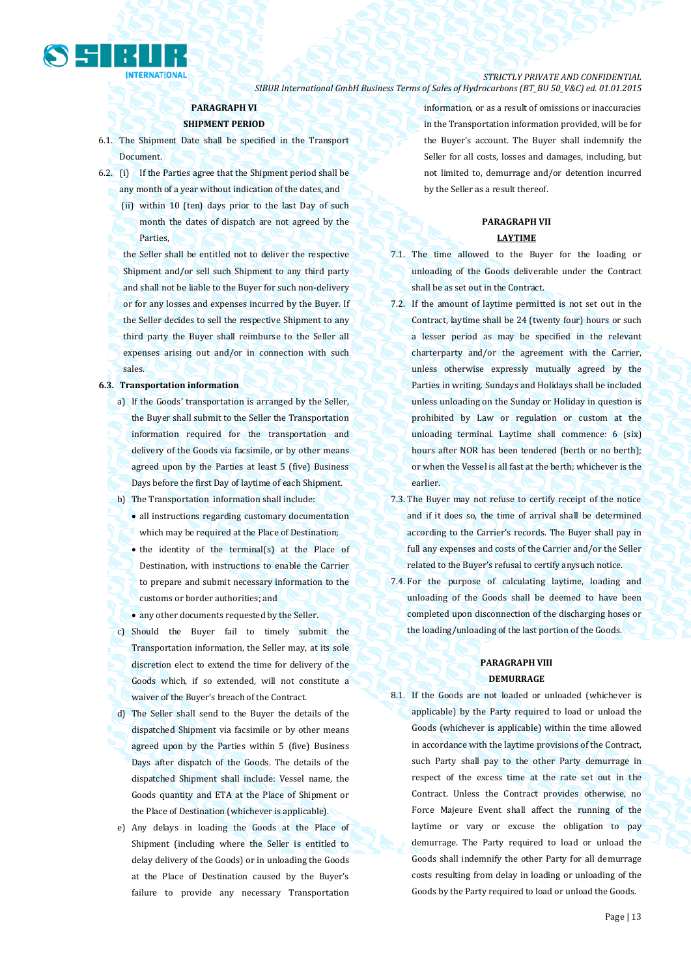

### *STRICTLY PRIVATE AND CONFIDENTIAL*

*SIBUR International GmbH Business Terms of Sales of Hydrocarbons (BT\_BU 50\_V&C) ed. 01.01.2015*

### **PARAGRAPH VI**

### **SHIPMENT PERIOD**

- 6.1. The Shipment Date shall be specified in the Transport Document.
- 6.2. (i) If the Parties agree that the Shipment period shall be any month of a year without indication of the dates, and
	- (ii) within 10 (ten) days prior to the last Day of such month the dates of dispatch are not agreed by the Parties,
	- the Seller shall be entitled not to deliver the respective Shipment and/or sell such Shipment to any third party and shall not be liable to the Buyer for such non-delivery or for any losses and expenses incurred by the Buyer. If the Seller decides to sell the respective Shipment to any third party the Buyer shall reimburse to the Seller all expenses arising out and/or in connection with such sales.

#### **6.3. Transportation information**

- a) If the Goods' transportation is arranged by the Seller, the Buyer shall submit to the Seller the Transportation information required for the transportation and delivery of the Goods via facsimile, or by other means agreed upon by the Parties at least 5 (five) Business Days before the first Day of laytime of each Shipment.
- b) The Transportation information shall include:
	- all instructions regarding customary documentation which may be required at the Place of Destination;
	- the identity of the terminal(s) at the Place of Destination, with instructions to enable the Carrier to prepare and submit necessary information to the customs or border authorities; and
	- any other documents requested by the Seller.
- c) Should the Buyer fail to timely submit the Transportation information, the Seller may, at its sole discretion elect to extend the time for delivery of the Goods which, if so extended, will not constitute a waiver of the Buyer's breach of the Contract.
- d) The Seller shall send to the Buyer the details of the dispatched Shipment via facsimile or by other means agreed upon by the Parties within 5 (five) Business Days after dispatch of the Goods. The details of the dispatched Shipment shall include: Vessel name, the Goods quantity and ETA at the Place of Shipment or the Place of Destination (whichever is applicable).
- e) Any delays in loading the Goods at the Place of Shipment (including where the Seller is entitled to delay delivery of the Goods) or in unloading the Goods at the Place of Destination caused by the Buyer's failure to provide any necessary Transportation

information, or as a result of omissions or inaccuracies in the Transportation information provided, will be for the Buyer's account. The Buyer shall indemnify the Seller for all costs, losses and damages, including, but not limited to, demurrage and/or detention incurred by the Seller as a result thereof.

## **PARAGRAPH VII**

### **LAYTIME**

- 7.1. The time allowed to the Buyer for the loading or unloading of the Goods deliverable under the Contract shall be as set out in the Contract.
- 7.2. If the amount of laytime permitted is not set out in the Contract, laytime shall be 24 (twenty four) hours or such a lesser period as may be specified in the relevant charterparty and/or the agreement with the Carrier, unless otherwise expressly mutually agreed by the Parties in writing. Sundays and Holidays shall be included unless unloading on the Sunday or Holiday in question is prohibited by Law or regulation or custom at the unloading terminal. Laytime shall commence: 6 (six) hours after NOR has been tendered (berth or no berth); or when the Vessel is all fast at the berth; whichever is the earlier.
- 7.3. The Buyer may not refuse to certify receipt of the notice and if it does so, the time of arrival shall be determined according to the Carrier's records. The Buyer shall pay in full any expenses and costs of the Carrier and/or the Seller related to the Buyer's refusal to certify anysuch notice.
- 7.4. For the purpose of calculating laytime, loading and unloading of the Goods shall be deemed to have been completed upon disconnection of the discharging hoses or the loading/unloading of the last portion of the Goods.

### **PARAGRAPH VIII DEMURRAGE**

8.1. If the Goods are not loaded or unloaded (whichever is applicable) by the Party required to load or unload the Goods (whichever is applicable) within the time allowed in accordance with the laytime provisions of the Contract, such Party shall pay to the other Party demurrage in respect of the excess time at the rate set out in the Contract. Unless the Contract provides otherwise, no Force Majeure Event shall affect the running of the laytime or vary or excuse the obligation to pay demurrage. The Party required to load or unload the Goods shall indemnify the other Party for all demurrage costs resulting from delay in loading or unloading of the Goods by the Party required to load or unload the Goods.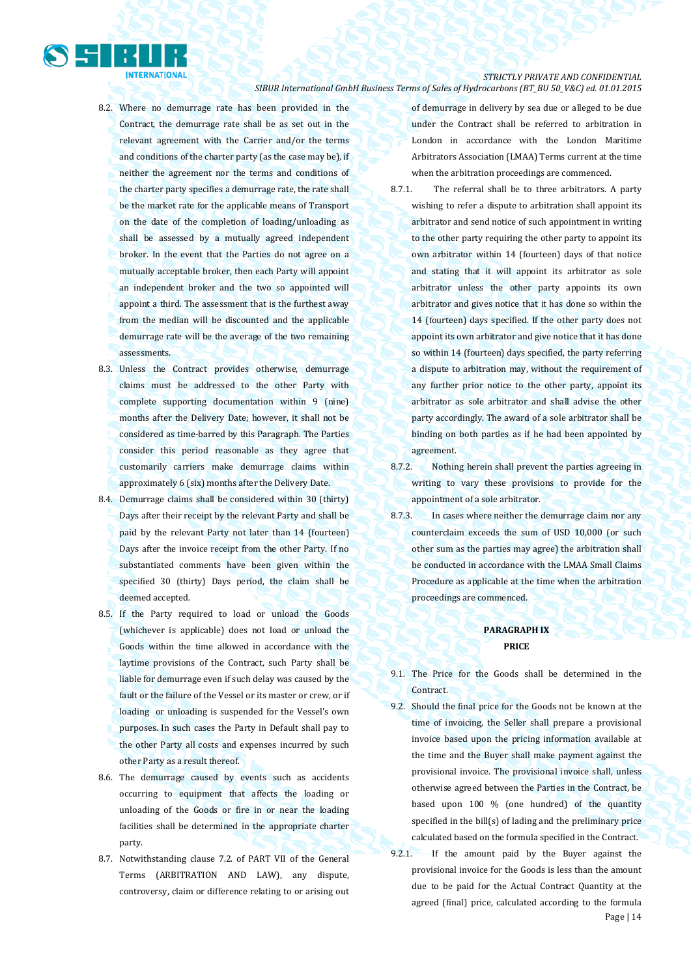

- 8.2. Where no demurrage rate has been provided in the Contract, the demurrage rate shall be as set out in the relevant agreement with the Carrier and/or the terms and conditions of the charter party (as the case may be), if neither the agreement nor the terms and conditions of the charter party specifies a demurrage rate, the rate shall be the market rate for the applicable means of Transport on the date of the completion of loading/unloading as shall be assessed by a mutually agreed independent broker. In the event that the Parties do not agree on a mutually acceptable broker, then each Party will appoint an independent broker and the two so appointed will appoint a third. The assessment that is the furthest away from the median will be discounted and the applicable demurrage rate will be the average of the two remaining assessments.
- 8.3. Unless the Contract provides otherwise, demurrage claims must be addressed to the other Party with complete supporting documentation within 9 (nine) months after the Delivery Date; however, it shall not be considered as time-barred by this Paragraph. The Parties consider this period reasonable as they agree that customarily carriers make demurrage claims within approximately 6 (six) months after the Delivery Date.
- 8.4. Demurrage claims shall be considered within 30 (thirty) Days after their receipt by the relevant Party and shall be paid by the relevant Party not later than 14 (fourteen) Days after the invoice receipt from the other Party. If no substantiated comments have been given within the specified 30 (thirty) Days period, the claim shall be deemed accepted.
- 8.5. If the Party required to load or unload the Goods (whichever is applicable) does not load or unload the Goods within the time allowed in accordance with the laytime provisions of the Contract, such Party shall be liable for demurrage even if such delay was caused by the fault or the failure of the Vessel or its master or crew, or if loading or unloading is suspended for the Vessel's own purposes. In such cases the Party in Default shall pay to the other Party all costs and expenses incurred by such other Party as a result thereof.
- 8.6. The demurrage caused by events such as accidents occurring to equipment that affects the loading or unloading of the Goods or fire in or near the loading facilities shall be determined in the appropriate charter party.
- 8.7. Notwithstanding clause 7.2. of PART VII of the General Terms (ARBITRATION AND LAW), any dispute, controversy, claim or difference relating to or arising out

of demurrage in delivery by sea due or alleged to be due under the Contract shall be referred to arbitration in London in accordance with the London Maritime Arbitrators Association (LMAA) Terms current at the time when the arbitration proceedings are commenced.

- 8.7.1. The referral shall be to three arbitrators. A party wishing to refer a dispute to arbitration shall appoint its arbitrator and send notice of such appointment in writing to the other party requiring the other party to appoint its own arbitrator within 14 (fourteen) days of that notice and stating that it will appoint its arbitrator as sole arbitrator unless the other party appoints its own arbitrator and gives notice that it has done so within the 14 (fourteen) days specified. If the other party does not appoint its own arbitrator and give notice that it has done so within 14 (fourteen) days specified, the party referring a dispute to arbitration may, without the requirement of any further prior notice to the other party, appoint its arbitrator as sole arbitrator and shall advise the other party accordingly. The award of a sole arbitrator shall be binding on both parties as if he had been appointed by agreement.
- 8.7.2. Nothing herein shall prevent the parties agreeing in writing to vary these provisions to provide for the appointment of a sole arbitrator.
- 8.7.3. In cases where neither the demurrage claim nor any counterclaim exceeds the sum of USD 10,000 (or such other sum as the parties may agree) the arbitration shall be conducted in accordance with the LMAA Small Claims Procedure as applicable at the time when the arbitration proceedings are commenced.

### **PARAGRAPH IX PRICE**

- 9.1. The Price for the Goods shall be determined in the Contract.
- 9.2. Should the final price for the Goods not be known at the time of invoicing, the Seller shall prepare a provisional invoice based upon the pricing information available at the time and the Buyer shall make payment against the provisional invoice. The provisional invoice shall, unless otherwise agreed between the Parties in the Contract, be based upon 100 % (one hundred) of the quantity specified in the bill(s) of lading and the preliminary price calculated based on the formula specified in the Contract.
- Page | 14 9.2.1. If the amount paid by the Buyer against the provisional invoice for the Goods is less than the amount due to be paid for the Actual Contract Quantity at the agreed (final) price, calculated according to the formula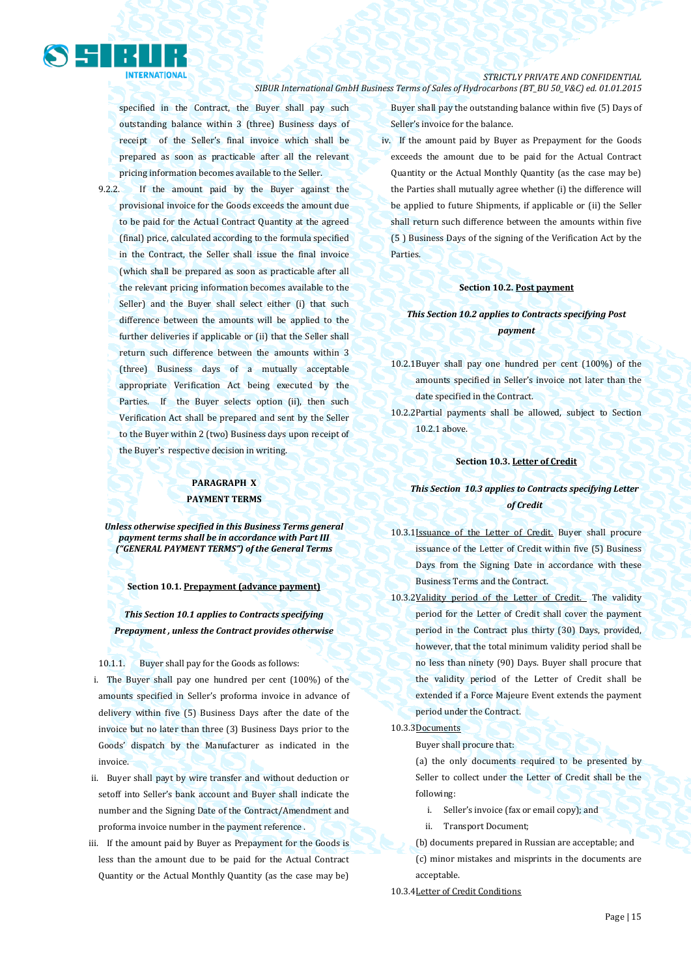

specified in the Contract, the Buyer shall pay such outstanding balance within 3 (three) Business days of receipt of the Seller's final invoice which shall be prepared as soon as practicable after all the relevant pricing information becomes available to the Seller.

9.2.2. If the amount paid by the Buyer against the provisional invoice for the Goods exceeds the amount due to be paid for the Actual Contract Quantity at the agreed (final) price, calculated according to the formula specified in the Contract, the Seller shall issue the final invoice (which shall be prepared as soon as practicable after all the relevant pricing information becomes available to the Seller) and the Buyer shall select either (i) that such difference between the amounts will be applied to the further deliveries if applicable or (ii) that the Seller shall return such difference between the amounts within 3 (three) Business days of a mutually acceptable appropriate Verification Act being executed by the Parties. If the Buyer selects option (ii), then such Verification Act shall be prepared and sent by the Seller to the Buyer within 2 (two) Business days upon receipt of the Buyer's respective decision in writing.

### **PARAGRAPH X PAYMENT TERMS**

*Unless otherwise specified in this Business Terms general payment terms shall be in accordance with Part III ("GENERAL PAYMENT TERMS") of the General Terms*

**Section 10.1. Prepayment (advance payment)**

*This Section 10.1 applies to Contracts specifying Prepayment , unless the Contract provides otherwise*

10.1.1. Buyer shall pay for the Goods as follows:

- i. The Buyer shall pay one hundred per cent (100%) of the amounts specified in Seller's proforma invoice in advance of delivery within five (5) Business Days after the date of the invoice but no later than three (3) Business Days prior to the Goods' dispatch by the Manufacturer as indicated in the invoice.
- ii. Buyer shall payt by wire transfer and without deduction or setoff into Seller's bank account and Buyer shall indicate the number and the Signing Date of the Contract/Amendment and proforma invoice number in the payment reference .
- iii. If the amount paid by Buyer as Prepayment for the Goods is less than the amount due to be paid for the Actual Contract Quantity or the Actual Monthly Quantity (as the case may be)

Buyer shall pay the outstanding balance within five (5) Days of Seller's invoice for the balance.

iv. If the amount paid by Buyer as Prepayment for the Goods exceeds the amount due to be paid for the Actual Contract Quantity or the Actual Monthly Quantity (as the case may be) the Parties shall mutually agree whether (i) the difference will be applied to future Shipments, if applicable or (ii) the Seller shall return such difference between the amounts within five (5 ) Business Days of the signing of the Verification Act by the Parties.

### **Section 10.2. Post payment**

### *This Section 10.2 applies to Contracts specifying Post payment*

- 10.2.1Buyer shall pay one hundred per cent (100%) of the amounts specified in Seller's invoice not later than the date specified in the Contract.
- 10.2.2Partial payments shall be allowed, subject to Section 10.2.1 above.

### **Section 10.3. Letter of Credit**

### *This Section 10.3 applies to Contracts specifying Letter of Credit*

- 10.3.1Issuance of the Letter of Credit. Buyer shall procure issuance of the Letter of Credit within five (5) Business Days from the Signing Date in accordance with these Business Terms and the Contract.
- 10.3.2Validity period of the Letter of Credit. The validity period for the Letter of Credit shall cover the payment period in the Contract plus thirty (30) Days, provided, however, that the total minimum validity period shall be no less than ninety (90) Days. Buyer shall procure that the validity period of the Letter of Credit shall be extended if a Force Majeure Event extends the payment period under the Contract.
- 10.3.3Documents
	- Buyer shall procure that:
	- (a) the only documents required to be presented by Seller to collect under the Letter of Credit shall be the following:
		- i. Seller's invoice (fax or email copy); and
		- ii. Transport Document;
	- (b) documents prepared in Russian are acceptable; and
	- (c) minor mistakes and misprints in the documents are acceptable.
- 10.3.4Letter of Credit Conditions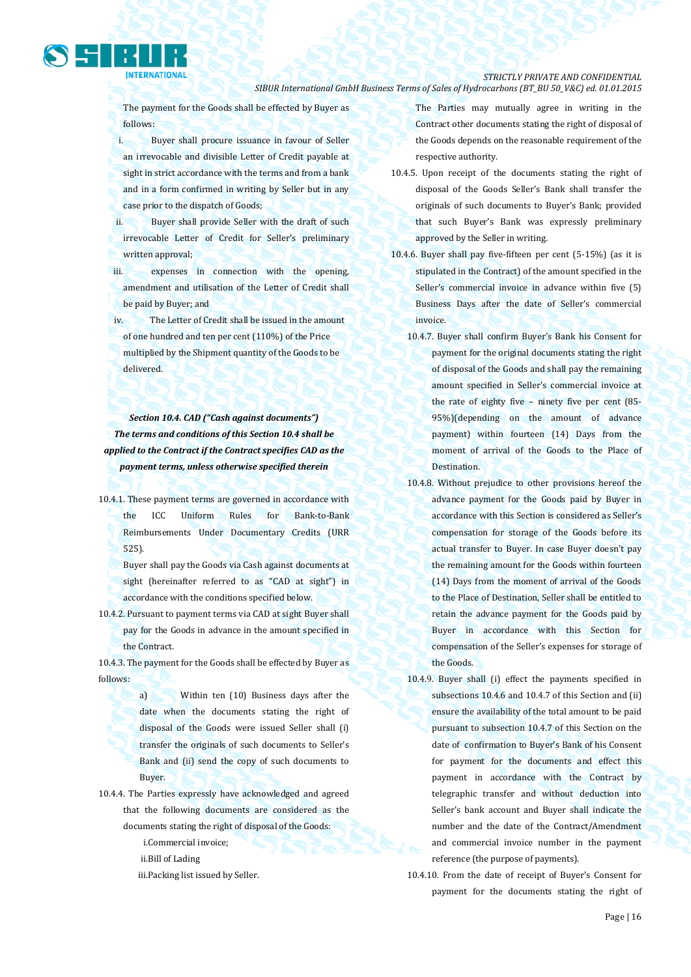follows:

**NTERNATIONAL** 

i. Buyer shall procure issuance in favour of Seller an irrevocable and divisible Letter of Credit payable at sight in strict accordance with the terms and from a bank and in a form confirmed in writing by Seller but in any case prior to the dispatch of Goods;

The payment for the Goods shall be effected by Buyer as

ii. Buyer shall provide Seller with the draft of such irrevocable Letter of Credit for Seller's preliminary written approval;

iii. expenses in connection with the opening, amendment and utilisation of the Letter of Credit shall be paid by Buyer; and

iv. The Letter of Credit shall be issued in the amount of one hundred and ten per cent (110%) of the Price multiplied by the Shipment quantity of the Goods to be delivered.

*Section 10.4. CAD ("Cash against documents") The terms and conditions of this Section 10.4 shall be applied to the Contract if the Contract specifies CAD as the payment terms, unless otherwise specified therein*

- 10.4.1. These payment terms are governed in accordance with the ICC Uniform Rules for Bank-to-Bank Reimbursements Under Documentary Credits (URR 525).
	- Buyer shall pay the Goods via Cash against documents at sight (hereinafter referred to as "CAD at sight") in accordance with the conditions specified below.

10.4.2. Pursuant to payment terms via CAD at sight Buyer shall pay for the Goods in advance in the amount specified in the Contract.

10.4.3. The payment for the Goods shall be effected by Buyer as follows:

> a) Within ten (10) Business days after the date when the documents stating the right of disposal of the Goods were issued Seller shall (i) transfer the originals of such documents to Seller's Bank and (ii) send the copy of such documents to Buyer.

- 10.4.4. The Parties expressly have acknowledged and agreed that the following documents are considered as the documents stating the right of disposal of the Goods:
	- i.Commercial invoice;
	- ii.Bill of Lading
	- iii.Packing list issued by Seller.

The Parties may mutually agree in writing in the Contract other documents stating the right of disposal of the Goods depends on the reasonable requirement of the respective authority.

*SIBUR International GmbH Business Terms of Sales of Hydrocarbons (BT\_BU 50\_V&C) ed. 01.01.2015*

*STRICTLY PRIVATE AND CONFIDENTIAL*

- 10.4.5. Upon receipt of the documents stating the right of disposal of the Goods Seller's Bank shall transfer the originals of such documents to Buyer's Bank; provided that such Buyer's Bank was expressly preliminary approved by the Seller in writing.
- 10.4.6. Buyer shall pay five-fifteen per cent (5-15%) (as it is stipulated in the Contract) of the amount specified in the Seller's commercial invoice in advance within five (5) Business Days after the date of Seller's commercial invoice.
	- 10.4.7. Buyer shall confirm Buyer's Bank his Consent for payment for the original documents stating the right of disposal of the Goods and shall pay the remaining amount specified in Seller's commercial invoice at the rate of eighty five – ninety five per cent (85- 95%)(depending on the amount of advance payment) within fourteen (14) Days from the moment of arrival of the Goods to the Place of Destination.
	- 10.4.8. Without prejudice to other provisions hereof the advance payment for the Goods paid by Buyer in accordance with this Section is considered as Seller's compensation for storage of the Goods before its actual transfer to Buyer. In case Buyer doesn't pay the remaining amount for the Goods within fourteen (14) Days from the moment of arrival of the Goods to the Place of Destination, Seller shall be entitled to retain the advance payment for the Goods paid by Buyer in accordance with this Section for compensation of the Seller's expenses for storage of the Goods.
	- 10.4.9. Buyer shall (i) effect the payments specified in subsections 10.4.6 and 10.4.7 of this Section and (ii) ensure the availability of the total amount to be paid pursuant to subsection 10.4.7 of this Section on the date of confirmation to Buyer's Bank of his Consent for payment for the documents and effect this payment in accordance with the Contract by telegraphic transfer and without deduction into Seller's bank account and Buyer shall indicate the number and the date of the Contract/Amendment and commercial invoice number in the payment reference (the purpose of payments).
	- 10.4.10. From the date of receipt of Buyer's Consent for payment for the documents stating the right of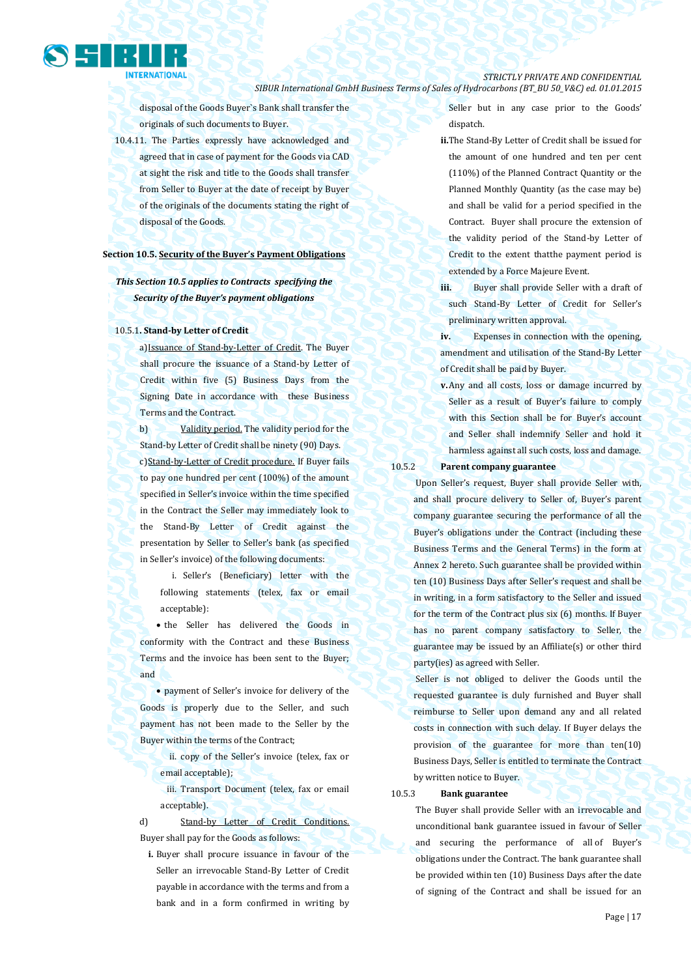

disposal of the Goods Buyer`s Bank shall transfer the originals of such documents to Buyer.

10.4.11. The Parties expressly have acknowledged and agreed that in case of payment for the Goods via CAD at sight the risk and title to the Goods shall transfer from Seller to Buyer at the date of receipt by Buyer of the originals of the documents stating the right of disposal of the Goods.

### **Section 10.5. Security of the Buyer's Payment Obligations**

### *This Section 10.5 applies to Contracts specifying the Security of the Buyer's payment obligations*

#### 10.5.1**. Stand-by Letter of Credit**

a)Issuance of Stand-by-Letter of Credit. The Buyer shall procure the issuance of a Stand-by Letter of Credit within five (5) Business Days from the Signing Date in accordance with these Business Terms and the Contract.

b) Validity period. The validity period for the Stand-by Letter of Credit shall be ninety (90) Days. c) Stand-by-Letter of Credit procedure. If Buyer fails to pay one hundred per cent (100%) of the amount specified in Seller's invoice within the time specified in the Contract the Seller may immediately look to the Stand-By Letter of Credit against the presentation by Seller to Seller's bank (as specified in Seller's invoice) of the following documents:

i. Seller's (Beneficiary) letter with the following statements (telex, fax or email acceptable):

• the Seller has delivered the Goods in conformity with the Contract and these Business Terms and the invoice has been sent to the Buyer; and

 payment of Seller's invoice for delivery of the Goods is properly due to the Seller, and such payment has not been made to the Seller by the Buyer within the terms of the Contract;

ii. copy of the Seller's invoice (telex, fax or email acceptable);

iii. Transport Document (telex, fax or email acceptable).

d) Stand-by Letter of Credit Conditions. Buyer shall pay for the Goods as follows:

**i.** Buyer shall procure issuance in favour of the Seller an irrevocable Stand-By Letter of Credit payable in accordance with the terms and from a bank and in a form confirmed in writing by

Seller but in any case prior to the Goods' dispatch.

**ii.**The Stand-By Letter of Credit shall be issued for the amount of one hundred and ten per cent (110%) of the Planned Contract Quantity or the Planned Monthly Quantity (as the case may be) and shall be valid for a period specified in the Contract. Buyer shall procure the extension of the validity period of the Stand-by Letter of Credit to the extent thatthe payment period is extended by a Force Majeure Event.

**iii.** Buyer shall provide Seller with a draft of such Stand-By Letter of Credit for Seller's preliminary written approval.

**iv.** Expenses in connection with the opening, amendment and utilisation of the Stand-By Letter of Credit shall be paid by Buyer.

**v.**Any and all costs, loss or damage incurred by Seller as a result of Buyer's failure to comply with this Section shall be for Buyer's account and Seller shall indemnify Seller and hold it harmless against all such costs, loss and damage.

### 10.5.2 **Parent company guarantee**

Upon Seller's request, Buyer shall provide Seller with, and shall procure delivery to Seller of, Buyer's parent company guarantee securing the performance of all the Buyer's obligations under the Contract (including these Business Terms and the General Terms) in the form at Annex 2 hereto. Such guarantee shall be provided within ten (10) Business Days after Seller's request and shall be in writing, in a form satisfactory to the Seller and issued for the term of the Contract plus six (6) months. If Buyer has no parent company satisfactory to Seller, the guarantee may be issued by an Affiliate(s) or other third party(ies) as agreed with Seller.

Seller is not obliged to deliver the Goods until the requested guarantee is duly furnished and Buyer shall reimburse to Seller upon demand any and all related costs in connection with such delay. If Buyer delays the provision of the guarantee for more than ten(10) Business Days, Seller is entitled to terminate the Contract by written notice to Buyer.

10.5.3 **Bank guarantee**

The Buyer shall provide Seller with an irrevocable and unconditional bank guarantee issued in favour of Seller and securing the performance of all of Buyer's obligations under the Contract. The bank guarantee shall be provided within ten (10) Business Days after the date of signing of the Contract and shall be issued for an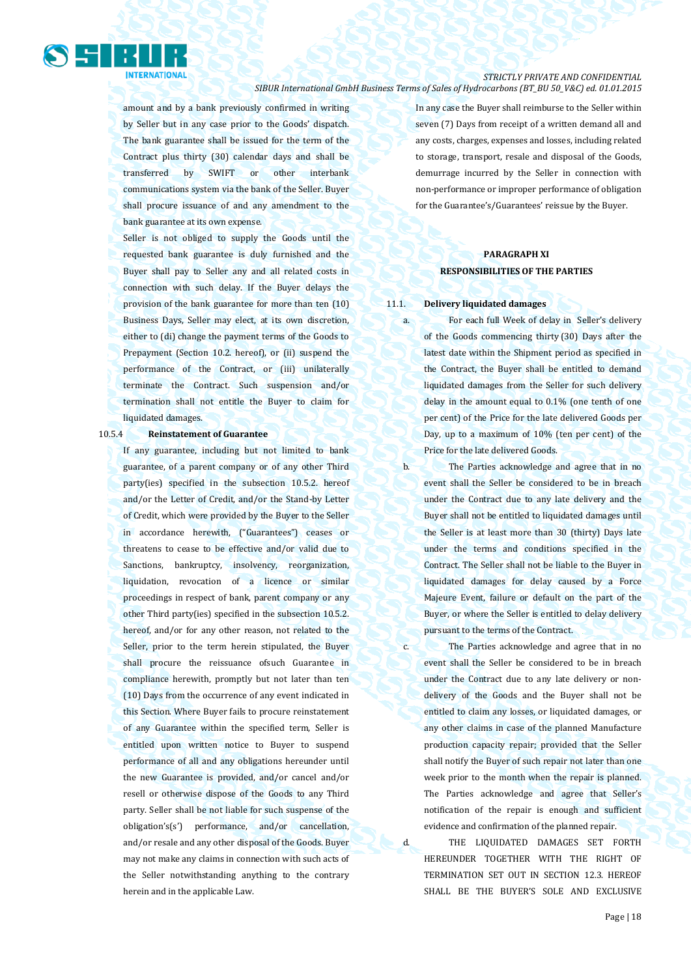

amount and by a bank previously confirmed in writing by Seller but in any case prior to the Goods' dispatch. The bank guarantee shall be issued for the term of the Contract plus thirty (30) calendar days and shall be transferred by SWIFT or other interbank communications system via the bank of the Seller. Buyer shall procure issuance of and any amendment to the bank guarantee at its own expense.

Seller is not obliged to supply the Goods until the requested bank guarantee is duly furnished and the Buyer shall pay to Seller any and all related costs in connection with such delay. If the Buyer delays the provision of the bank guarantee for more than ten (10) Business Days, Seller may elect, at its own discretion, either to (di) change the payment terms of the Goods to Prepayment (Section 10.2. hereof), or (ii) suspend the performance of the Contract, or (iii) unilaterally terminate the Contract. Such suspension and/or termination shall not entitle the Buyer to claim for liquidated damages.

#### 10.5.4 **Reinstatement of Guarantee**

If any guarantee, including but not limited to bank guarantee, of a parent company or of any other Third party(ies) specified in the subsection 10.5.2. hereof and/or the Letter of Credit, and/or the Stand-by Letter of Credit, which were provided by the Buyer to the Seller in accordance herewith, ("Guarantees") ceases or threatens to cease to be effective and/or valid due to Sanctions, bankruptcy, insolvency, reorganization, liquidation, revocation of a licence or similar proceedings in respect of bank, parent company or any other Third party(ies) specified in the subsection 10.5.2. hereof, and/or for any other reason, not related to the Seller, prior to the term herein stipulated, the Buyer shall procure the reissuance ofsuch Guarantee in compliance herewith, promptly but not later than ten (10) Days from the occurrence of any event indicated in this Section. Where Buyer fails to procure reinstatement of any Guarantee within the specified term, Seller is entitled upon written notice to Buyer to suspend performance of all and any obligations hereunder until the new Guarantee is provided, and/or cancel and/or resell or otherwise dispose of the Goods to any Third party. Seller shall be not liable for such suspense of the obligation's(s') performance, and/or cancellation, and/or resale and any other disposal of the Goods. Buyer may not make any claims in connection with such acts of the Seller notwithstanding anything to the contrary herein and in the applicable Law.

In any case the Buyer shall reimburse to the Seller within seven (7) Days from receipt of a written demand all and any costs, charges, expenses and losses, including related to storage, transport, resale and disposal of the Goods, demurrage incurred by the Seller in connection with non-performance or improper performance of obligation for the Guarantee's/Guarantees' reissue by the Buyer.

### **PARAGRAPH XI RESPONSIBILITIES OF THE PARTIES**

#### 11.1. **Delivery liquidated damages**

a. For each full Week of delay in Seller's delivery of the Goods commencing thirty (30) Days after the latest date within the Shipment period as specified in the Contract, the Buyer shall be entitled to demand liquidated damages from the Seller for such delivery delay in the amount equal to 0.1% (one tenth of one per cent) of the Price for the late delivered Goods per Day, up to a maximum of 10% (ten per cent) of the Price for the late delivered Goods.

b. The Parties acknowledge and agree that in no event shall the Seller be considered to be in breach under the Contract due to any late delivery and the Buyer shall not be entitled to liquidated damages until the Seller is at least more than 30 (thirty) Days late under the terms and conditions specified in the Contract. The Seller shall not be liable to the Buyer in liquidated damages for delay caused by a Force Majeure Event, failure or default on the part of the Buyer, or where the Seller is entitled to delay delivery pursuant to the terms of the Contract.

c. The Parties acknowledge and agree that in no event shall the Seller be considered to be in breach under the Contract due to any late delivery or nondelivery of the Goods and the Buyer shall not be entitled to claim any losses, or liquidated damages, or any other claims in case of the planned Manufacture production capacity repair; provided that the Seller shall notify the Buyer of such repair not later than one week prior to the month when the repair is planned. The Parties acknowledge and agree that Seller's notification of the repair is enough and sufficient evidence and confirmation of the planned repair.

d. THE LIQUIDATED DAMAGES SET FORTH HEREUNDER TOGETHER WITH THE RIGHT OF TERMINATION SET OUT IN SECTION 12.3. HEREOF SHALL BE THE BUYER'S SOLE AND EXCLUSIVE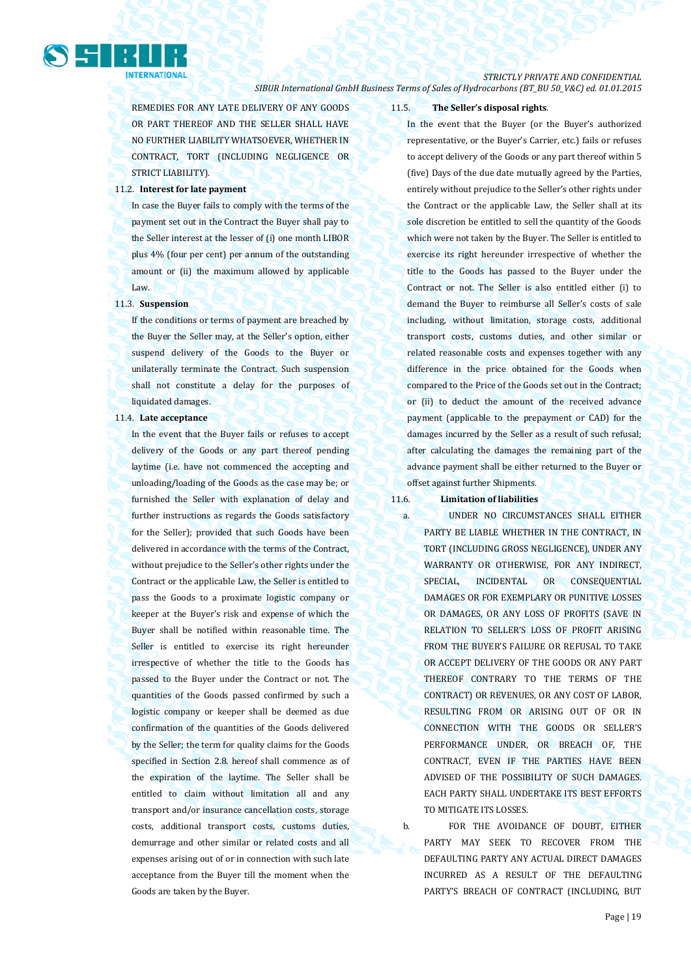### *STRICTLY PRIVATE AND CONFIDENTIAL*

*SIBUR International GmbH Business Terms of Sales of Hydrocarbons (BT\_BU 50\_V&C) ed. 01.01.2015*

REMEDIES FOR ANY LATE DELIVERY OF ANY GOODS OR PART THEREOF AND THE SELLER SHALL HAVE NO FURTHER LIABILITY WHATSOEVER, WHETHER IN CONTRACT, TORT (INCLUDING NEGLIGENCE OR STRICT LIABILITY).

### 11.2. **Interest for late payment**

In case the Buyer fails to comply with the terms of the payment set out in the Contract the Buyer shall pay to the Seller interest at the lesser of (i) one month LIBOR plus 4% (four per cent) per annum of the outstanding amount or (ii) the maximum allowed by applicable Law.

### 11.3. **Suspension**

If the conditions or terms of payment are breached by the Buyer the Seller may, at the Seller's option, either suspend delivery of the Goods to the Buyer or unilaterally terminate the Contract. Such suspension shall not constitute a delay for the purposes of liquidated damages.

#### 11.4. **Late acceptance**

In the event that the Buyer fails or refuses to accept delivery of the Goods or any part thereof pending laytime (i.e. have not commenced the accepting and unloading/loading of the Goods as the case may be; or furnished the Seller with explanation of delay and further instructions as regards the Goods satisfactory for the Seller); provided that such Goods have been delivered in accordance with the terms of the Contract, without prejudice to the Seller's other rights under the Contract or the applicable Law, the Seller is entitled to pass the Goods to a proximate logistic company or keeper at the Buyer's risk and expense of which the Buyer shall be notified within reasonable time. The Seller is entitled to exercise its right hereunder irrespective of whether the title to the Goods has passed to the Buyer under the Contract or not. The quantities of the Goods passed confirmed by such a logistic company or keeper shall be deemed as due confirmation of the quantities of the Goods delivered by the Seller; the term for quality claims for the Goods specified in Section 2.8. hereof shall commence as of the expiration of the laytime. The Seller shall be entitled to claim without limitation all and any transport and/or insurance cancellation costs, storage costs, additional transport costs, customs duties, demurrage and other similar or related costs and all expenses arising out of or in connection with such late acceptance from the Buyer till the moment when the Goods are taken by the Buyer.

### 11.5. **The Seller's disposal rights**.

In the event that the Buyer (or the Buyer's authorized representative, or the Buyer's Carrier, etc.) fails or refuses to accept delivery of the Goods or any part thereof within 5 (five) Days of the due date mutually agreed by the Parties, entirely without prejudice to the Seller's other rights under the Contract or the applicable Law, the Seller shall at its sole discretion be entitled to sell the quantity of the Goods which were not taken by the Buyer. The Seller is entitled to exercise its right hereunder irrespective of whether the title to the Goods has passed to the Buyer under the Contract or not. The Seller is also entitled either (i) to demand the Buyer to reimburse all Seller's costs of sale including, without limitation, storage costs, additional transport costs, customs duties, and other similar or related reasonable costs and expenses together with any difference in the price obtained for the Goods when compared to the Price of the Goods set out in the Contract; or (ii) to deduct the amount of the received advance payment (applicable to the prepayment or CAD) for the damages incurred by the Seller as a result of such refusal; after calculating the damages the remaining part of the advance payment shall be either returned to the Buyer or offset against further Shipments.

### 11.6. **Limitation of liabilities**

a. UNDER NO CIRCUMSTANCES SHALL EITHER PARTY BE LIABLE WHETHER IN THE CONTRACT, IN TORT (INCLUDING GROSS NEGLIGENCE), UNDER ANY WARRANTY OR OTHERWISE, FOR ANY INDIRECT, SPECIAL, INCIDENTAL OR CONSEQUENTIAL DAMAGES OR FOR EXEMPLARY OR PUNITIVE LOSSES OR DAMAGES, OR ANY LOSS OF PROFITS (SAVE IN RELATION TO SELLER'S LOSS OF PROFIT ARISING FROM THE BUYER'S FAILURE OR REFUSAL TO TAKE OR ACCEPT DELIVERY OF THE GOODS OR ANY PART THEREOF CONTRARY TO THE TERMS OF THE CONTRACT) OR REVENUES, OR ANY COST OF LABOR, RESULTING FROM OR ARISING OUT OF OR IN CONNECTION WITH THE GOODS OR SELLER'S PERFORMANCE UNDER, OR BREACH OF, THE CONTRACT, EVEN IF THE PARTIES HAVE BEEN ADVISED OF THE POSSIBILITY OF SUCH DAMAGES. EACH PARTY SHALL UNDERTAKE ITS BEST EFFORTS TO MITIGATE ITS LOSSES.

b. FOR THE AVOIDANCE OF DOUBT, EITHER PARTY MAY SEEK TO RECOVER FROM THE DEFAULTING PARTY ANY ACTUAL DIRECT DAMAGES INCURRED AS A RESULT OF THE DEFAULTING PARTY'S BREACH OF CONTRACT (INCLUDING, BUT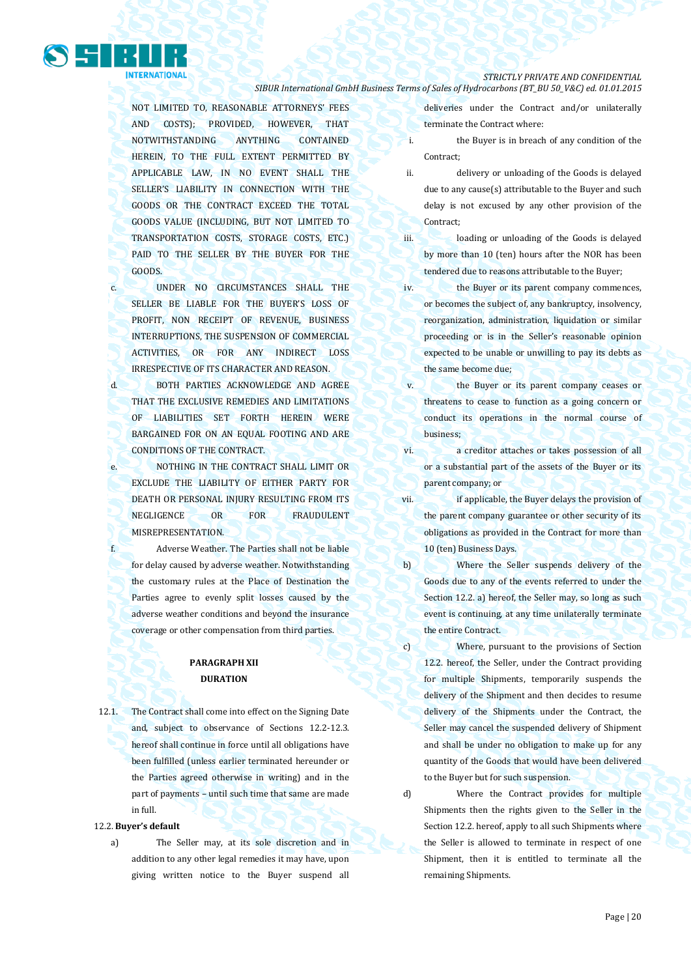

NOT LIMITED TO, REASONABLE ATTORNEYS' FEES AND COSTS); PROVIDED, HOWEVER, THAT NOTWITHSTANDING ANYTHING CONTAINED HEREIN, TO THE FULL EXTENT PERMITTED BY APPLICABLE LAW, IN NO EVENT SHALL THE SELLER'S LIABILITY IN CONNECTION WITH THE GOODS OR THE CONTRACT EXCEED THE TOTAL GOODS VALUE (INCLUDING, BUT NOT LIMITED TO TRANSPORTATION COSTS, STORAGE COSTS, ETC.) PAID TO THE SELLER BY THE BUYER FOR THE GOODS.

- c. UNDER NO CIRCUMSTANCES SHALL THE SELLER BE LIABLE FOR THE BUYER'S LOSS OF PROFIT, NON RECEIPT OF REVENUE, BUSINESS INTERRUPTIONS, THE SUSPENSION OF COMMERCIAL ACTIVITIES, OR FOR ANY INDIRECT LOSS IRRESPECTIVE OF ITS CHARACTER AND REASON.
- d. BOTH PARTIES ACKNOWLEDGE AND AGREE THAT THE EXCLUSIVE REMEDIES AND LIMITATIONS OF LIABILITIES SET FORTH HEREIN WERE BARGAINED FOR ON AN EQUAL FOOTING AND ARE CONDITIONS OF THE CONTRACT.
- e. NOTHING IN THE CONTRACT SHALL LIMIT OR EXCLUDE THE LIABILITY OF EITHER PARTY FOR DEATH OR PERSONAL INJURY RESULTING FROM ITS NEGLIGENCE OR FOR FRAUDULENT MISREPRESENTATION.
- f. Adverse Weather. The Parties shall not be liable for delay caused by adverse weather. Notwithstanding the customary rules at the Place of Destination the Parties agree to evenly split losses caused by the adverse weather conditions and beyond the insurance coverage or other compensation from third parties.

### **PARAGRAPH XII DURATION**

12.1. The Contract shall come into effect on the Signing Date and, subject to observance of Sections 12.2-12.3. hereof shall continue in force until all obligations have been fulfilled (unless earlier terminated hereunder or the Parties agreed otherwise in writing) and in the part of payments – until such time that same are made in full.

#### 12.2. **Buyer's default**

a) The Seller may, at its sole discretion and in addition to any other legal remedies it may have, upon giving written notice to the Buyer suspend all

deliveries under the Contract and/or unilaterally terminate the Contract where:

- i. the Buyer is in breach of any condition of the Contract;
- ii. delivery or unloading of the Goods is delayed due to any cause(s) attributable to the Buyer and such delay is not excused by any other provision of the Contract;
- iii. loading or unloading of the Goods is delayed by more than 10 (ten) hours after the NOR has been tendered due to reasons attributable to the Buyer;
- iv. the Buyer or its parent company commences, or becomes the subject of, any bankruptcy, insolvency, reorganization, administration, liquidation or similar proceeding or is in the Seller's reasonable opinion expected to be unable or unwilling to pay its debts as the same become due;
- v. the Buyer or its parent company ceases or threatens to cease to function as a going concern or conduct its operations in the normal course of business;
- vi. a creditor attaches or takes possession of all or a substantial part of the assets of the Buyer or its parent company; or
- vii. **if applicable, the Buyer delays the provision of** the parent company guarantee or other security of its obligations as provided in the Contract for more than 10 (ten) Business Days.
- b) Where the Seller suspends delivery of the Goods due to any of the events referred to under the Section 12.2. a) hereof, the Seller may, so long as such event is continuing, at any time unilaterally terminate the entire Contract.
- c) Where, pursuant to the provisions of Section 12.2. hereof, the Seller, under the Contract providing for multiple Shipments, temporarily suspends the delivery of the Shipment and then decides to resume delivery of the Shipments under the Contract, the Seller may cancel the suspended delivery of Shipment and shall be under no obligation to make up for any quantity of the Goods that would have been delivered to the Buyer but for such suspension.

d) Where the Contract provides for multiple Shipments then the rights given to the Seller in the Section 12.2. hereof, apply to all such Shipments where the Seller is allowed to terminate in respect of one Shipment, then it is entitled to terminate all the

remaining Shipments.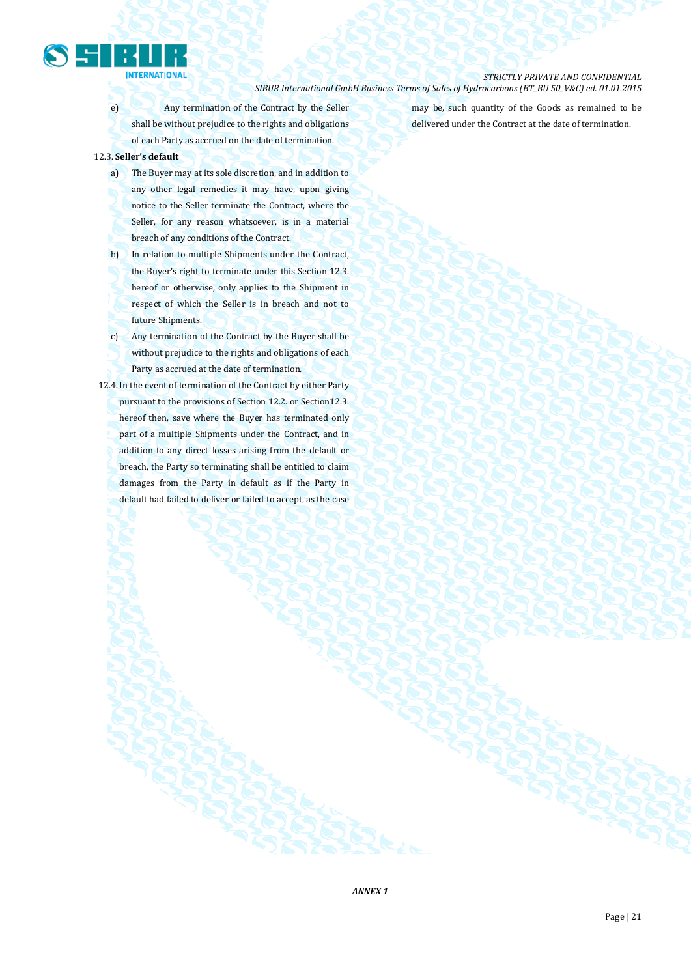

e) Any termination of the Contract by the Seller shall be without prejudice to the rights and obligations of each Party as accrued on the date of termination.

### 12.3. **Seller's default**

- a) The Buyer may at its sole discretion, and in addition to any other legal remedies it may have, upon giving notice to the Seller terminate the Contract, where the Seller, for any reason whatsoever, is in a material breach of any conditions of the Contract.
- b) In relation to multiple Shipments under the Contract, the Buyer's right to terminate under this Section 12.3. hereof or otherwise, only applies to the Shipment in respect of which the Seller is in breach and not to future Shipments.
- c) Any termination of the Contract by the Buyer shall be without prejudice to the rights and obligations of each Party as accrued at the date of termination.
- 12.4. In the event of termination of the Contract by either Party pursuant to the provisions of Section 12.2. or Section 12.3. hereof then, save where the Buyer has terminated only part of a multiple Shipments under the Contract, and in addition to any direct losses arising from the default or breach, the Party so terminating shall be entitled to claim damages from the Party in default as if the Party in default had failed to deliver or failed to accept, as the case

may be, such quantity of the Goods as remained to be delivered under the Contract at the date of termination.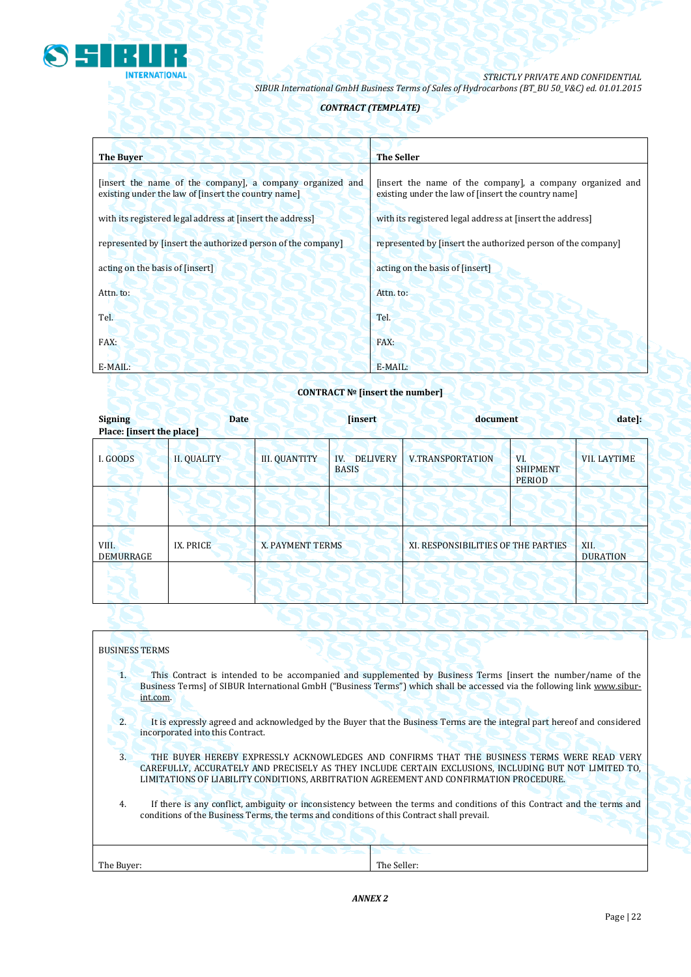

### *CONTRACT (TEMPLATE)*

| <b>The Buver</b>                                                                                                 | <b>The Seller</b>                                                                                                |
|------------------------------------------------------------------------------------------------------------------|------------------------------------------------------------------------------------------------------------------|
| [insert the name of the company], a company organized and<br>existing under the law of finsert the country name] | [insert the name of the company], a company organized and<br>existing under the law of [insert the country name] |
| with its registered legal address at finsert the address                                                         | with its registered legal address at [insert the address]                                                        |
| represented by [insert the authorized person of the company]                                                     | represented by [insert the authorized person of the company]                                                     |
| acting on the basis of [insert]                                                                                  | acting on the basis of [insert]                                                                                  |
| Attn. to:                                                                                                        | Attn. to:                                                                                                        |
| Tel.                                                                                                             | Tel.                                                                                                             |
| FAX:                                                                                                             | FAX:                                                                                                             |
| E-MAIL:                                                                                                          | E-MAIL:                                                                                                          |

### **CONTRACT № [insert the number]**

| <b>Signing</b><br>Place: [insert the place] | <b>Date</b>        |                      | <i><b>[insert]</b></i>                 | document                            |                                         | date]:                  |
|---------------------------------------------|--------------------|----------------------|----------------------------------------|-------------------------------------|-----------------------------------------|-------------------------|
| I. GOODS                                    | <b>II. QUALITY</b> | <b>III. QUANTITY</b> | <b>DELIVERY</b><br>IV.<br><b>BASIS</b> | <b>V.TRANSPORTATION</b>             | VI.<br><b>SHIPMENT</b><br><b>PERIOD</b> | <b>VII. LAYTIME</b>     |
|                                             |                    |                      |                                        |                                     |                                         |                         |
| VIII.<br><b>DEMURRAGE</b>                   | IX. PRICE          | X. PAYMENT TERMS     |                                        | XI. RESPONSIBILITIES OF THE PARTIES |                                         | XII.<br><b>DURATION</b> |
|                                             |                    |                      |                                        |                                     |                                         |                         |

### BUSINESS TERMS

1. This Contract is intended to be accompanied and supplemented by Business Terms [insert the number/name of the Business Terms] of SIBUR International GmbH ("Business Terms") which shall be accessed via the following link [www.sibur](http://www.sibur-int.com/)[int.com.](http://www.sibur-int.com/)

2. It is expressly agreed and acknowledged by the Buyer that the Business Terms are the integral part hereof and considered incorporated into this Contract.

- 3. THE BUYER HEREBY EXPRESSLY ACKNOWLEDGES AND CONFIRMS THAT THE BUSINESS TERMS WERE READ VERY CAREFULLY, ACCURATELY AND PRECISELY AS THEY INCLUDE CERTAIN EXCLUSIONS, INCLUDING BUT NOT LIMITED TO, LIMITATIONS OF LIABILITY CONDITIONS, ARBITRATION AGREEMENT AND CONFIRMATION PROCEDURE.
- 4. If there is any conflict, ambiguity or inconsistency between the terms and conditions of this Contract and the terms and conditions of the Business Terms, the terms and conditions of this Contract shall prevail.

| The Buyer: | The Seller: |
|------------|-------------|
|            |             |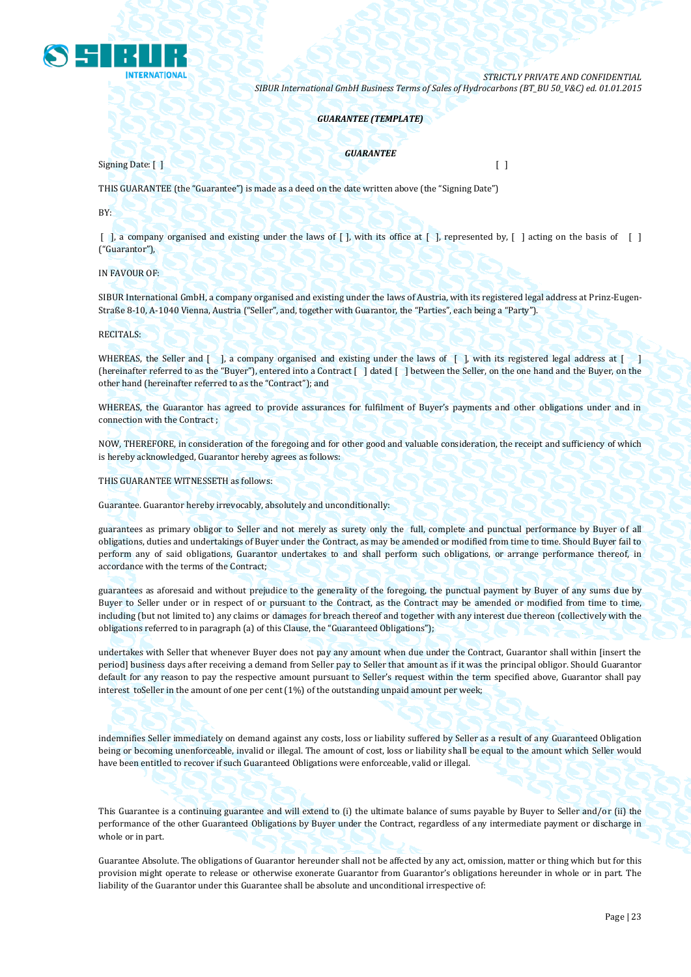

### *GUARANTEE (TEMPLATE)*

*GUARANTEE*

Signing Date: [ ] [ ]

THIS GUARANTEE (the "Guarantee") is made as a deed on the date written above (the "Signing Date")

BY:

 $\lceil$ , a company organised and existing under the laws of  $\lceil$ , with its office at  $\lceil$ , represented by,  $\lceil$ , acting on the basis of  $\lceil$ ("Guarantor"),

IN FAVOUR OF:

SIBUR International GmbH, a company organised and existing under the laws of Austria, with its registered legal address at Prinz-Eugen-Straße 8-10, A-1040 Vienna, Austria ("Seller", and, together with Guarantor, the "Parties", each being a "Party").

RECITALS:

WHEREAS, the Seller and [ ], a company organised and existing under the laws of [ ], with its registered legal address at [ ] (hereinafter referred to as the "Buyer"), entered into a Contract [ ] dated [ ] between the Seller, on the one hand and the Buyer, on the other hand (hereinafter referred to as the "Contract"); and

WHEREAS, the Guarantor has agreed to provide assurances for fulfilment of Buyer's payments and other obligations under and in connection with the Contract ;

NOW, THEREFORE, in consideration of the foregoing and for other good and valuable consideration, the receipt and sufficiency of which is hereby acknowledged, Guarantor hereby agrees as follows:

THIS GUARANTEE WITNESSETH as follows:

Guarantee. Guarantor hereby irrevocably, absolutely and unconditionally:

guarantees as primary obligor to Seller and not merely as surety only the full, complete and punctual performance by Buyer of all obligations, duties and undertakings of Buyer under the Contract, as may be amended or modified from time to time. Should Buyer fail to perform any of said obligations, Guarantor undertakes to and shall perform such obligations, or arrange performance thereof, in accordance with the terms of the Contract;

guarantees as aforesaid and without prejudice to the generality of the foregoing, the punctual payment by Buyer of any sums due by Buyer to Seller under or in respect of or pursuant to the Contract, as the Contract may be amended or modified from time to time, including (but not limited to) any claims or damages for breach thereof and together with any interest due thereon (collectively with the obligations referred to in paragraph (a) of this Clause, the "Guaranteed Obligations");

undertakes with Seller that whenever Buyer does not pay any amount when due under the Contract, Guarantor shall within [insert the period] business days after receiving a demand from Seller pay to Seller that amount as if it was the principal obligor. Should Guarantor default for any reason to pay the respective amount pursuant to Seller's request within the term specified above, Guarantor shall pay interest toSeller in the amount of one per cent (1%) of the outstanding unpaid amount per week;

indemnifies Seller immediately on demand against any costs, loss or liability suffered by Seller as a result of any Guaranteed Obligation being or becoming unenforceable, invalid or illegal. The amount of cost, loss or liability shall be equal to the amount which Seller would have been entitled to recover if such Guaranteed Obligations were enforceable, valid or illegal.

This Guarantee is a continuing guarantee and will extend to (i) the ultimate balance of sums payable by Buyer to Seller and/or (ii) the performance of the other Guaranteed Obligations by Buyer under the Contract, regardless of any intermediate payment or discharge in whole or in part.

Guarantee Absolute. The obligations of Guarantor hereunder shall not be affected by any act, omission, matter or thing which but for this provision might operate to release or otherwise exonerate Guarantor from Guarantor's obligations hereunder in whole or in part. The liability of the Guarantor under this Guarantee shall be absolute and unconditional irrespective of: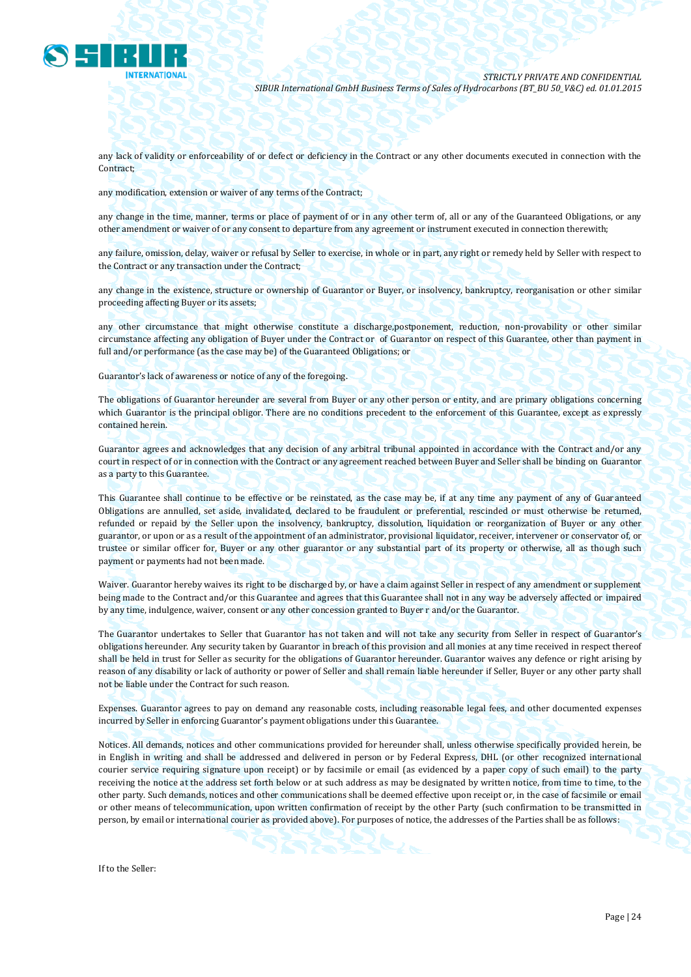

any lack of validity or enforceability of or defect or deficiency in the Contract or any other documents executed in connection with the Contract;

any modification, extension or waiver of any terms of the Contract;

any change in the time, manner, terms or place of payment of or in any other term of, all or any of the Guaranteed Obligations, or any other amendment or waiver of or any consent to departure from any agreement or instrument executed in connection therewith;

any failure, omission, delay, waiver or refusal by Seller to exercise, in whole or in part, any right or remedy held by Seller with respect to the Contract or any transaction under the Contract;

any change in the existence, structure or ownership of Guarantor or Buyer, or insolvency, bankruptcy, reorganisation or other similar proceeding affecting Buyer or its assets;

any other circumstance that might otherwise constitute a discharge,postponement, reduction, non-provability or other similar circumstance affecting any obligation of Buyer under the Contract or of Guarantor on respect of this Guarantee, other than payment in full and/or performance (as the case may be) of the Guaranteed Obligations; or

Guarantor's lack of awareness or notice of any of the foregoing.

The obligations of Guarantor hereunder are several from Buyer or any other person or entity, and are primary obligations concerning which Guarantor is the principal obligor. There are no conditions precedent to the enforcement of this Guarantee, except as expressly contained herein.

Guarantor agrees and acknowledges that any decision of any arbitral tribunal appointed in accordance with the Contract and/or any court in respect of or in connection with the Contract or any agreement reached between Buyer and Seller shall be binding on Guarantor as a party to this Guarantee.

This Guarantee shall continue to be effective or be reinstated, as the case may be, if at any time any payment of any of Guaranteed Obligations are annulled, set aside, invalidated, declared to be fraudulent or preferential, rescinded or must otherwise be returned, refunded or repaid by the Seller upon the insolvency, bankruptcy, dissolution, liquidation or reorganization of Buyer or any other guarantor, or upon or as a result of the appointment of an administrator, provisional liquidator, receiver, intervener or conservator of, or trustee or similar officer for, Buyer or any other guarantor or any substantial part of its property or otherwise, all as though such payment or payments had not been made.

Waiver. Guarantor hereby waives its right to be discharged by, or have a claim against Seller in respect of any amendment or supplement being made to the Contract and/or this Guarantee and agrees that this Guarantee shall not in any way be adversely affected or impaired by any time, indulgence, waiver, consent or any other concession granted to Buyer r and/or the Guarantor.

The Guarantor undertakes to Seller that Guarantor has not taken and will not take any security from Seller in respect of Guarantor's obligations hereunder. Any security taken by Guarantor in breach of this provision and all monies at any time received in respect thereof shall be held in trust for Seller as security for the obligations of Guarantor hereunder. Guarantor waives any defence or right arising by reason of any disability or lack of authority or power of Seller and shall remain liable hereunder if Seller, Buyer or any other party shall not be liable under the Contract for such reason.

Expenses. Guarantor agrees to pay on demand any reasonable costs, including reasonable legal fees, and other documented expenses incurred by Seller in enforcing Guarantor's payment obligations under this Guarantee.

Notices. All demands, notices and other communications provided for hereunder shall, unless otherwise specifically provided herein, be in English in writing and shall be addressed and delivered in person or by Federal Express, DHL (or other recognized international courier service requiring signature upon receipt) or by facsimile or email (as evidenced by a paper copy of such email) to the party receiving the notice at the address set forth below or at such address as may be designated by written notice, from time to time, to the other party. Such demands, notices and other communications shall be deemed effective upon receipt or, in the case of facsimile or email or other means of telecommunication, upon written confirmation of receipt by the other Party (such confirmation to be transmitted in person, by email or international courier as provided above). For purposes of notice, the addresses of the Parties shall be as follows:

If to the Seller: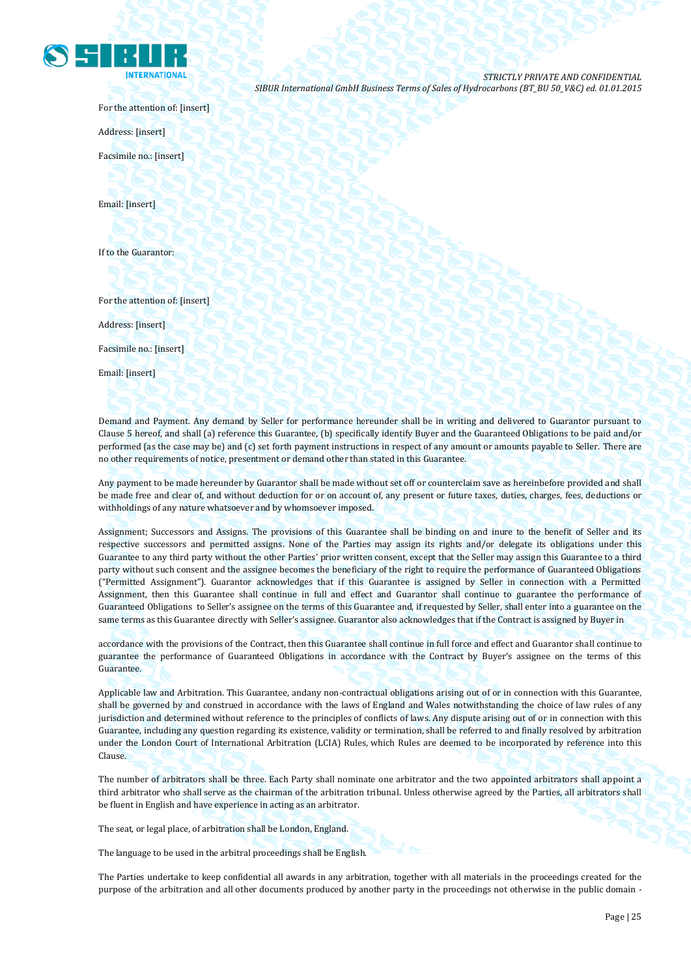

For the attention of: [insert]

Address: [insert]

Facsimile no.: [insert]

Email: [insert]

If to the Guarantor:

For the attention of: [insert]

Address: [insert]

Facsimile no.: [insert]

Email: [insert]

Demand and Payment. Any demand by Seller for performance hereunder shall be in writing and delivered to Guarantor pursuant to Clause 5 hereof, and shall (a) reference this Guarantee, (b) specifically identify Buyer and the Guaranteed Obligations to be paid and/or performed (as the case may be) and (c) set forth payment instructions in respect of any amount or amounts payable to Seller. There are no other requirements of notice, presentment or demand other than stated in this Guarantee.

Any payment to be made hereunder by Guarantor shall be made without set off or counterclaim save as hereinbefore provided and shall be made free and clear of, and without deduction for or on account of, any present or future taxes, duties, charges, fees, deductions or withholdings of any nature whatsoever and by whomsoever imposed.

Assignment; Successors and Assigns. The provisions of this Guarantee shall be binding on and inure to the benefit of Seller and its respective successors and permitted assigns. None of the Parties may assign its rights and/or delegate its obligations under this Guarantee to any third party without the other Parties' prior written consent, except that the Seller may assign this Guarantee to a third party without such consent and the assignee becomes the beneficiary of the right to require the performance of Guaranteed Obligations ("Permitted Assignment"). Guarantor acknowledges that if this Guarantee is assigned by Seller in connection with a Permitted Assignment, then this Guarantee shall continue in full and effect and Guarantor shall continue to guarantee the performance of Guaranteed Obligations to Seller's assignee on the terms of this Guarantee and, if requested by Seller, shall enter into a guarantee on the same terms as this Guarantee directly with Seller's assignee. Guarantor also acknowledges that if the Contract is assigned by Buyer in

accordance with the provisions of the Contract, then this Guarantee shall continue in full force and effect and Guarantor shall continue to guarantee the performance of Guaranteed Obligations in accordance with the Contract by Buyer's assignee on the terms of this Guarantee.

Applicable law and Arbitration. This Guarantee, andany non-contractual obligations arising out of or in connection with this Guarantee, shall be governed by and construed in accordance with the laws of England and Wales notwithstanding the choice of law rules of any jurisdiction and determined without reference to the principles of conflicts of laws. Any dispute arising out of or in connection with this Guarantee, including any question regarding its existence, validity or termination, shall be referred to and finally resolved by arbitration under the London Court of International Arbitration (LCIA) Rules, which Rules are deemed to be incorporated by reference into this Clause.

The number of arbitrators shall be three. Each Party shall nominate one arbitrator and the two appointed arbitrators shall appoint a third arbitrator who shall serve as the chairman of the arbitration tribunal. Unless otherwise agreed by the Parties, all arbitrators shall be fluent in English and have experience in acting as an arbitrator.

The seat, or legal place, of arbitration shall be London, England.

The language to be used in the arbitral proceedings shall be English.

The Parties undertake to keep confidential all awards in any arbitration, together with all materials in the proceedings created for the purpose of the arbitration and all other documents produced by another party in the proceedings not otherwise in the public domain -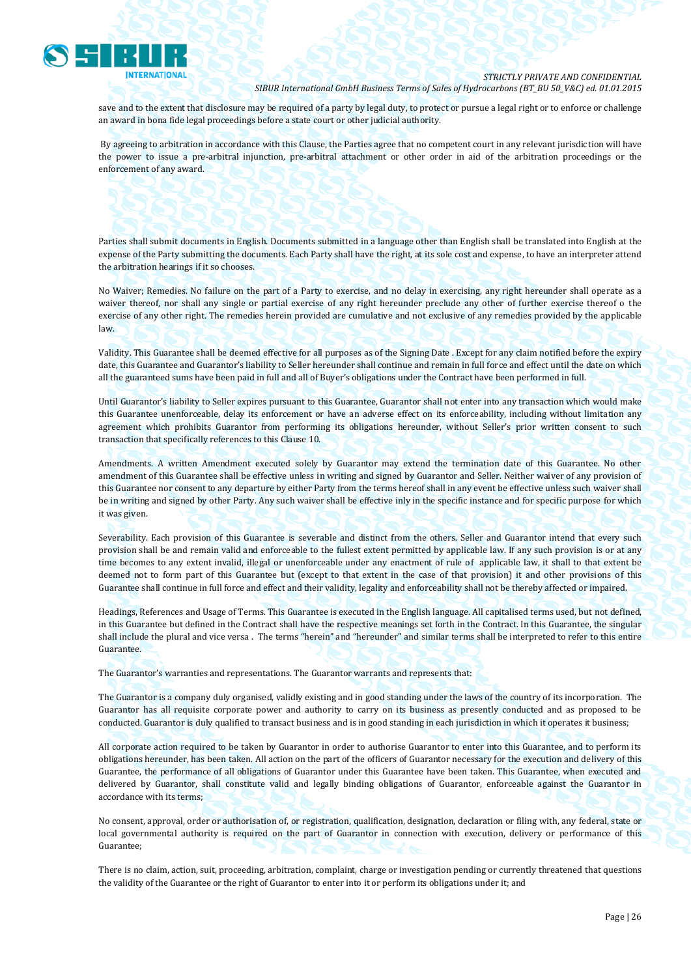

save and to the extent that disclosure may be required of a party by legal duty, to protect or pursue a legal right or to enforce or challenge an award in bona fide legal proceedings before a state court or other judicial authority.

By agreeing to arbitration in accordance with this Clause, the Parties agree that no competent court in any relevant jurisdiction will have the power to issue a pre-arbitral injunction, pre-arbitral attachment or other order in aid of the arbitration proceedings or the enforcement of any award.

Parties shall submit documents in English. Documents submitted in a language other than English shall be translated into English at the expense of the Party submitting the documents. Each Party shall have the right, at its sole cost and expense, to have an interpreter attend the arbitration hearings if it so chooses.

No Waiver; Remedies. No failure on the part of a Party to exercise, and no delay in exercising, any right hereunder shall operate as a waiver thereof, nor shall any single or partial exercise of any right hereunder preclude any other of further exercise thereof o the exercise of any other right. The remedies herein provided are cumulative and not exclusive of any remedies provided by the applicable law.

Validity. This Guarantee shall be deemed effective for all purposes as of the Signing Date . Except for any claim notified before the expiry date, this Guarantee and Guarantor's liability to Seller hereunder shall continue and remain in full force and effect until the date on which all the guaranteed sums have been paid in full and all of Buyer's obligations under the Contract have been performed in full.

Until Guarantor's liability to Seller expires pursuant to this Guarantee, Guarantor shall not enter into any transaction which would make this Guarantee unenforceable, delay its enforcement or have an adverse effect on its enforceability, including without limitation any agreement which prohibits Guarantor from performing its obligations hereunder, without Seller's prior written consent to such transaction that specifically references to this Clause 10.

Amendments. A written Amendment executed solely by Guarantor may extend the termination date of this Guarantee. No other amendment of this Guarantee shall be effective unless in writing and signed by Guarantor and Seller. Neither waiver of any provision of this Guarantee nor consent to any departure by either Party from the terms hereof shall in any event be effective unless such waiver shall be in writing and signed by other Party. Any such waiver shall be effective inly in the specific instance and for specific purpose for which it was given.

Severability. Each provision of this Guarantee is severable and distinct from the others. Seller and Guarantor intend that every such provision shall be and remain valid and enforceable to the fullest extent permitted by applicable law. If any such provision is or at any time becomes to any extent invalid, illegal or unenforceable under any enactment of rule of applicable law, it shall to that extent be deemed not to form part of this Guarantee but (except to that extent in the case of that provision) it and other provisions of this Guarantee shall continue in full force and effect and their validity, legality and enforceability shall not be thereby affected or impaired.

Headings, References and Usage of Terms. This Guarantee is executed in the English language. All capitalised terms used, but not defined, in this Guarantee but defined in the Contract shall have the respective meanings set forth in the Contract. In this Guarantee, the singular shall include the plural and vice versa . The terms "herein" and "hereunder" and similar terms shall be interpreted to refer to this entire Guarantee.

The Guarantor's warranties and representations. The Guarantor warrants and represents that:

The Guarantor is a company duly organised, validly existing and in good standing under the laws of the country of its incorporation. The Guarantor has all requisite corporate power and authority to carry on its business as presently conducted and as proposed to be conducted. Guarantor is duly qualified to transact business and is in good standing in each jurisdiction in which it operates it business;

All corporate action required to be taken by Guarantor in order to authorise Guarantor to enter into this Guarantee, and to perform its obligations hereunder, has been taken. All action on the part of the officers of Guarantor necessary for the execution and delivery of this Guarantee, the performance of all obligations of Guarantor under this Guarantee have been taken. This Guarantee, when executed and delivered by Guarantor, shall constitute valid and legally binding obligations of Guarantor, enforceable against the Guarantor in accordance with its terms;

No consent, approval, order or authorisation of, or registration, qualification, designation, declaration or filing with, any federal, state or local governmental authority is required on the part of Guarantor in connection with execution, delivery or performance of this Guarantee;

There is no claim, action, suit, proceeding, arbitration, complaint, charge or investigation pending or currently threatened that questions the validity of the Guarantee or the right of Guarantor to enter into it or perform its obligations under it; and